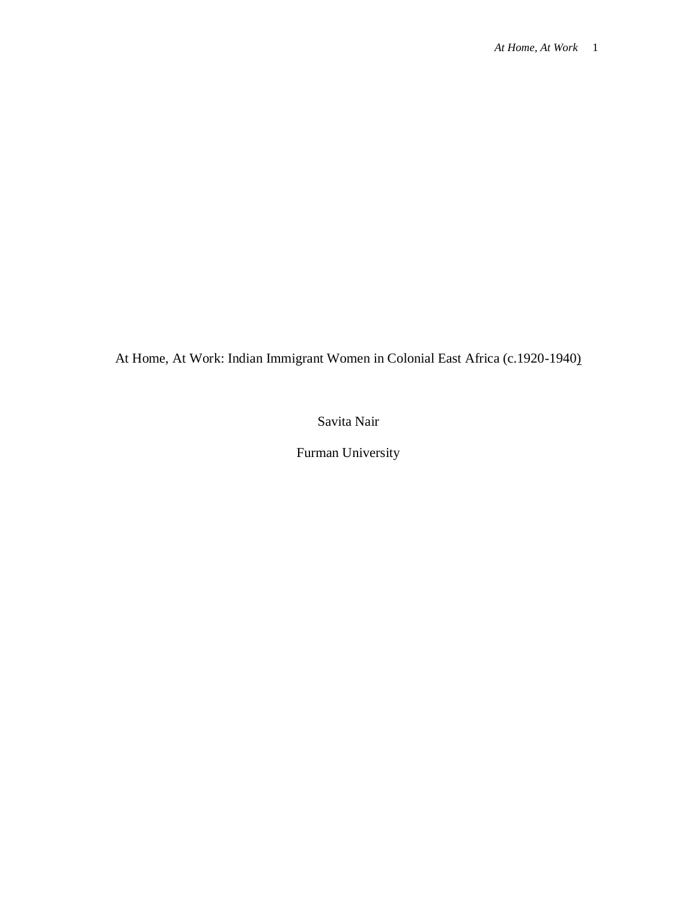At Home, At Work: Indian Immigrant Women in Colonial East Africa (c.1920-1940)

Savita Nair

Furman University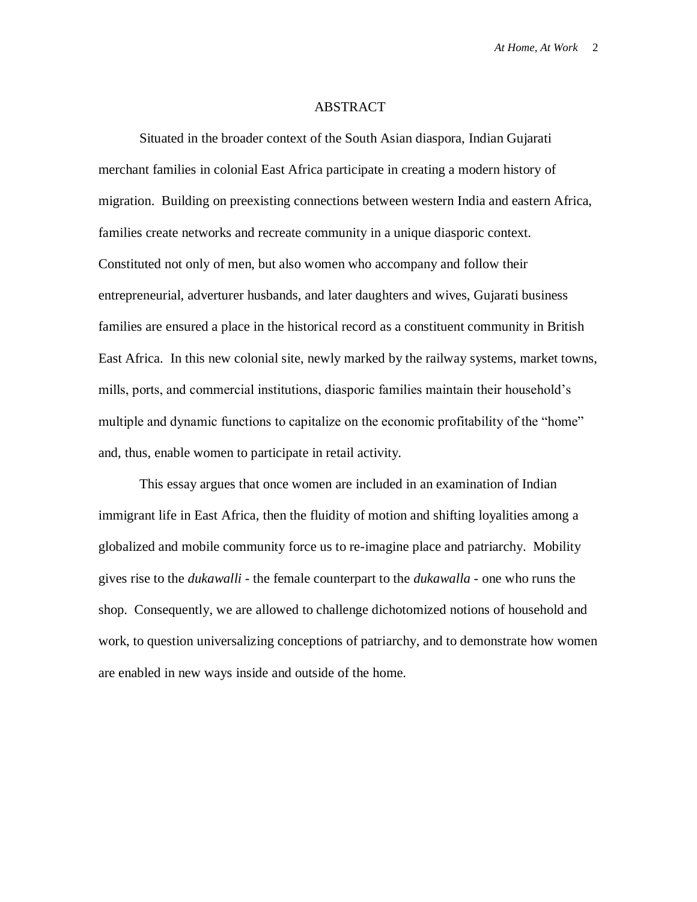## ABSTRACT

Situated in the broader context of the South Asian diaspora, Indian Gujarati merchant families in colonial East Africa participate in creating a modern history of migration. Building on preexisting connections between western India and eastern Africa, families create networks and recreate community in a unique diasporic context. Constituted not only of men, but also women who accompany and follow their entrepreneurial, adverturer husbands, and later daughters and wives, Gujarati business families are ensured a place in the historical record as a constituent community in British East Africa. In this new colonial site, newly marked by the railway systems, market towns, mills, ports, and commercial institutions, diasporic families maintain their household's multiple and dynamic functions to capitalize on the economic profitability of the "home" and, thus, enable women to participate in retail activity.

This essay argues that once women are included in an examination of Indian immigrant life in East Africa, then the fluidity of motion and shifting loyalities among a globalized and mobile community force us to re-imagine place and patriarchy. Mobility gives rise to the *dukawalli -* the female counterpart to the *dukawalla* - one who runs the shop. Consequently, we are allowed to challenge dichotomized notions of household and work, to question universalizing conceptions of patriarchy, and to demonstrate how women are enabled in new ways inside and outside of the home.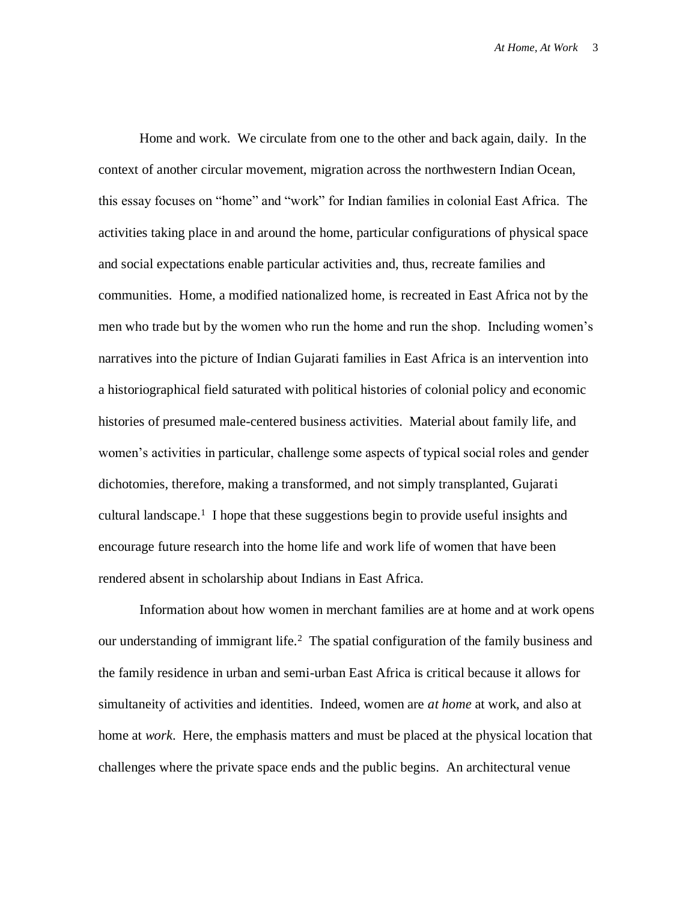Home and work. We circulate from one to the other and back again, daily. In the context of another circular movement, migration across the northwestern Indian Ocean, this essay focuses on "home" and "work" for Indian families in colonial East Africa. The activities taking place in and around the home, particular configurations of physical space and social expectations enable particular activities and, thus, recreate families and communities. Home, a modified nationalized home, is recreated in East Africa not by the men who trade but by the women who run the home and run the shop. Including women's narratives into the picture of Indian Gujarati families in East Africa is an intervention into a historiographical field saturated with political histories of colonial policy and economic histories of presumed male-centered business activities. Material about family life, and women's activities in particular, challenge some aspects of typical social roles and gender dichotomies, therefore, making a transformed, and not simply transplanted, Gujarati cultural landscape.<sup>1</sup> I hope that these suggestions begin to provide useful insights and encourage future research into the home life and work life of women that have been rendered absent in scholarship about Indians in East Africa.

Information about how women in merchant families are at home and at work opens our understanding of immigrant life.<sup>2</sup> The spatial configuration of the family business and the family residence in urban and semi-urban East Africa is critical because it allows for simultaneity of activities and identities. Indeed, women are *at home* at work, and also at home at *work*. Here, the emphasis matters and must be placed at the physical location that challenges where the private space ends and the public begins. An architectural venue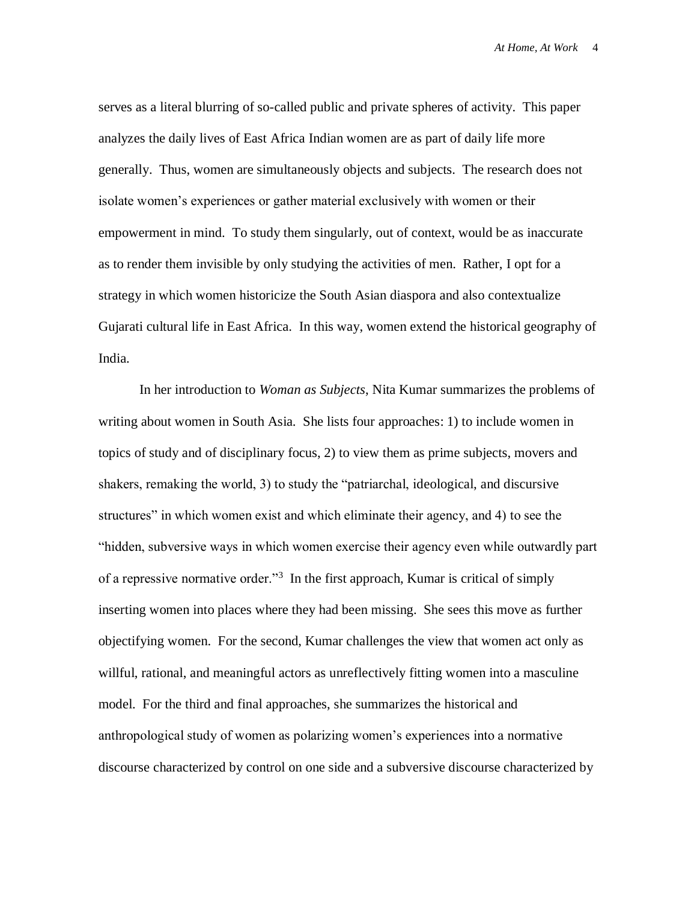serves as a literal blurring of so-called public and private spheres of activity. This paper analyzes the daily lives of East Africa Indian women are as part of daily life more generally. Thus, women are simultaneously objects and subjects. The research does not isolate women's experiences or gather material exclusively with women or their empowerment in mind. To study them singularly, out of context, would be as inaccurate as to render them invisible by only studying the activities of men. Rather, I opt for a strategy in which women historicize the South Asian diaspora and also contextualize Gujarati cultural life in East Africa. In this way, women extend the historical geography of India.

In her introduction to *Woman as Subjects*, Nita Kumar summarizes the problems of writing about women in South Asia. She lists four approaches: 1) to include women in topics of study and of disciplinary focus, 2) to view them as prime subjects, movers and shakers, remaking the world, 3) to study the "patriarchal, ideological, and discursive structures" in which women exist and which eliminate their agency, and 4) to see the "hidden, subversive ways in which women exercise their agency even while outwardly part of a repressive normative order."<sup>3</sup> In the first approach, Kumar is critical of simply inserting women into places where they had been missing. She sees this move as further objectifying women. For the second, Kumar challenges the view that women act only as willful, rational, and meaningful actors as unreflectively fitting women into a masculine model. For the third and final approaches, she summarizes the historical and anthropological study of women as polarizing women's experiences into a normative discourse characterized by control on one side and a subversive discourse characterized by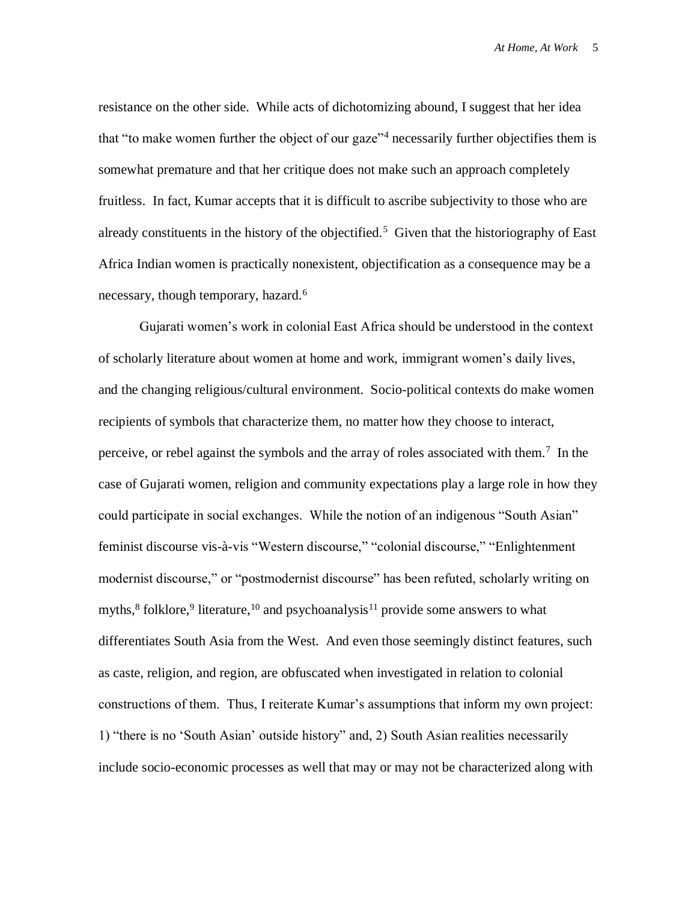resistance on the other side. While acts of dichotomizing abound, I suggest that her idea that "to make women further the object of our gaze"<sup>4</sup> necessarily further objectifies them is somewhat premature and that her critique does not make such an approach completely fruitless. In fact, Kumar accepts that it is difficult to ascribe subjectivity to those who are already constituents in the history of the objectified.<sup>5</sup> Given that the historiography of East Africa Indian women is practically nonexistent, objectification as a consequence may be a necessary, though temporary, hazard.<sup>6</sup>

Gujarati women's work in colonial East Africa should be understood in the context of scholarly literature about women at home and work, immigrant women's daily lives, and the changing religious/cultural environment. Socio-political contexts do make women recipients of symbols that characterize them, no matter how they choose to interact, perceive, or rebel against the symbols and the array of roles associated with them.<sup>7</sup> In the case of Gujarati women, religion and community expectations play a large role in how they could participate in social exchanges. While the notion of an indigenous "South Asian" feminist discourse vis-à-vis "Western discourse," "colonial discourse," "Enlightenment modernist discourse," or "postmodernist discourse" has been refuted, scholarly writing on myths,<sup>8</sup> folklore,<sup>9</sup> literature,<sup>10</sup> and psychoanalysis<sup>11</sup> provide some answers to what differentiates South Asia from the West. And even those seemingly distinct features, such as caste, religion, and region, are obfuscated when investigated in relation to colonial constructions of them. Thus, I reiterate Kumar's assumptions that inform my own project: 1) "there is no 'South Asian' outside history" and, 2) South Asian realities necessarily include socio-economic processes as well that may or may not be characterized along with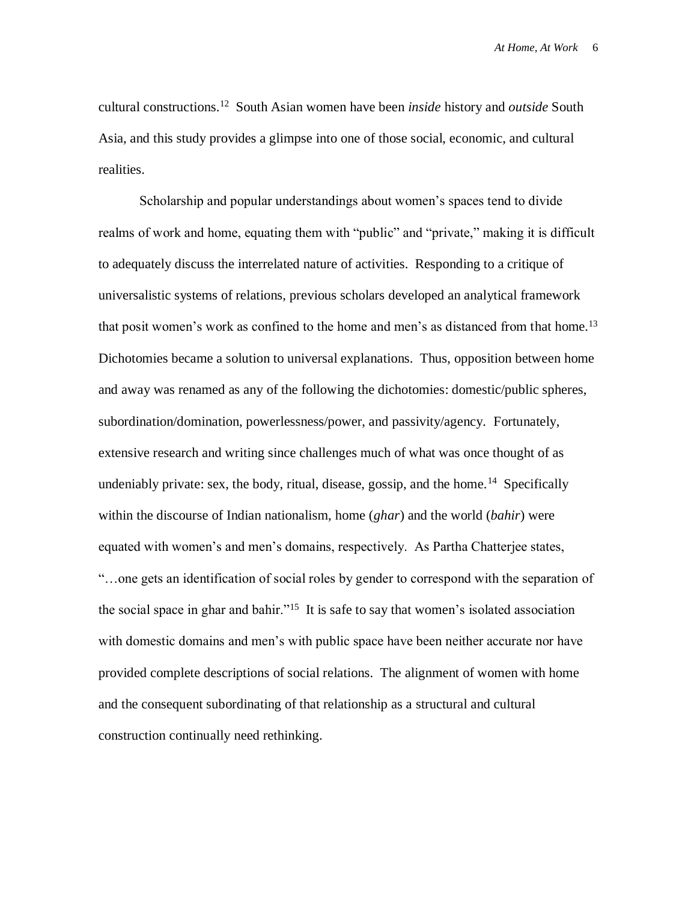cultural constructions.<sup>12</sup> South Asian women have been *inside* history and *outside* South Asia, and this study provides a glimpse into one of those social, economic, and cultural realities.

Scholarship and popular understandings about women's spaces tend to divide realms of work and home, equating them with "public" and "private," making it is difficult to adequately discuss the interrelated nature of activities. Responding to a critique of universalistic systems of relations, previous scholars developed an analytical framework that posit women's work as confined to the home and men's as distanced from that home.<sup>13</sup> Dichotomies became a solution to universal explanations. Thus, opposition between home and away was renamed as any of the following the dichotomies: domestic/public spheres, subordination/domination, powerlessness/power, and passivity/agency. Fortunately, extensive research and writing since challenges much of what was once thought of as undeniably private: sex, the body, ritual, disease, gossip, and the home.<sup>14</sup> Specifically within the discourse of Indian nationalism, home (*ghar*) and the world (*bahir*) were equated with women's and men's domains, respectively. As Partha Chatterjee states, "…one gets an identification of social roles by gender to correspond with the separation of the social space in ghar and bahir."<sup>15</sup> It is safe to say that women's isolated association with domestic domains and men's with public space have been neither accurate nor have provided complete descriptions of social relations. The alignment of women with home and the consequent subordinating of that relationship as a structural and cultural construction continually need rethinking.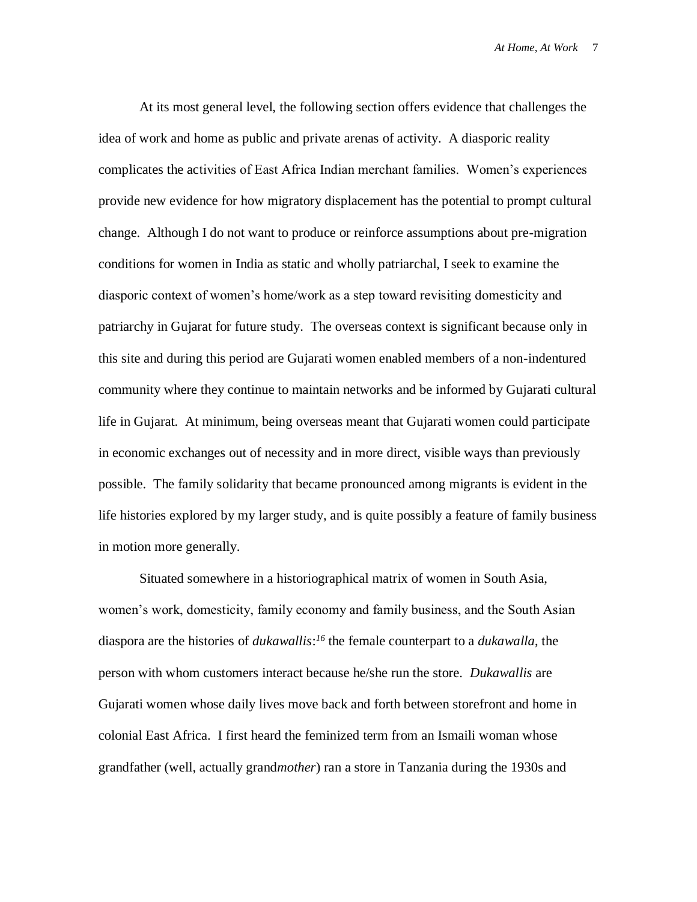At its most general level, the following section offers evidence that challenges the idea of work and home as public and private arenas of activity. A diasporic reality complicates the activities of East Africa Indian merchant families. Women's experiences provide new evidence for how migratory displacement has the potential to prompt cultural change. Although I do not want to produce or reinforce assumptions about pre-migration conditions for women in India as static and wholly patriarchal, I seek to examine the diasporic context of women's home/work as a step toward revisiting domesticity and patriarchy in Gujarat for future study. The overseas context is significant because only in this site and during this period are Gujarati women enabled members of a non-indentured community where they continue to maintain networks and be informed by Gujarati cultural life in Gujarat. At minimum, being overseas meant that Gujarati women could participate in economic exchanges out of necessity and in more direct, visible ways than previously possible. The family solidarity that became pronounced among migrants is evident in the life histories explored by my larger study, and is quite possibly a feature of family business in motion more generally.

Situated somewhere in a historiographical matrix of women in South Asia, women's work, domesticity, family economy and family business, and the South Asian diaspora are the histories of *dukawallis*: *<sup>16</sup>* the female counterpart to a *dukawalla*, the person with whom customers interact because he/she run the store. *Dukawallis* are Gujarati women whose daily lives move back and forth between storefront and home in colonial East Africa. I first heard the feminized term from an Ismaili woman whose grandfather (well, actually grand*mother*) ran a store in Tanzania during the 1930s and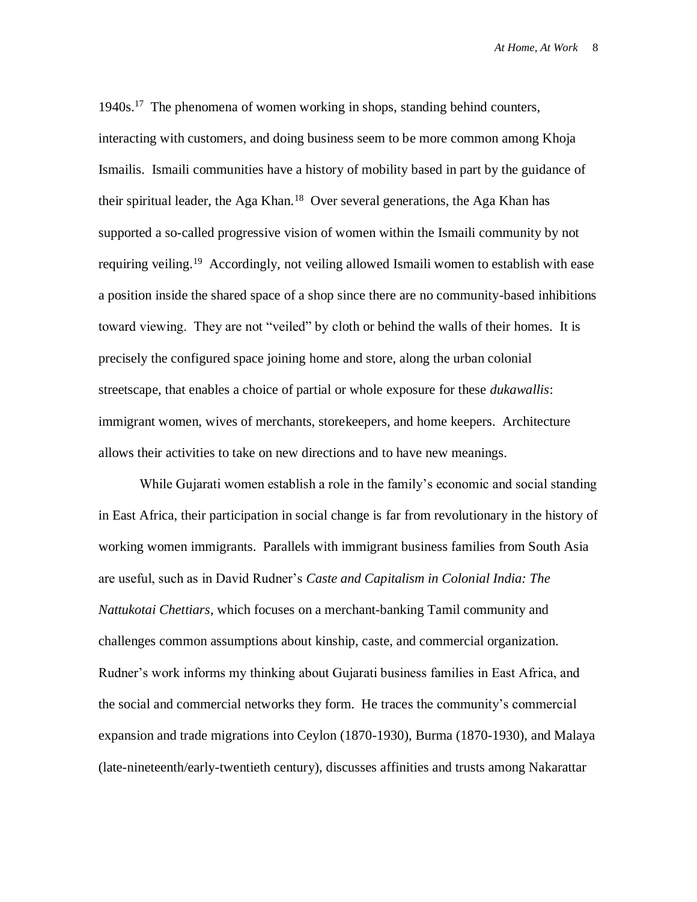1940s.<sup>17</sup> The phenomena of women working in shops, standing behind counters, interacting with customers, and doing business seem to be more common among Khoja Ismailis. Ismaili communities have a history of mobility based in part by the guidance of their spiritual leader, the Aga Khan.<sup>18</sup> Over several generations, the Aga Khan has supported a so-called progressive vision of women within the Ismaili community by not requiring veiling.<sup>19</sup> Accordingly, not veiling allowed Ismaili women to establish with ease a position inside the shared space of a shop since there are no community-based inhibitions toward viewing. They are not "veiled" by cloth or behind the walls of their homes. It is precisely the configured space joining home and store, along the urban colonial streetscape, that enables a choice of partial or whole exposure for these *dukawallis*: immigrant women, wives of merchants, storekeepers, and home keepers. Architecture allows their activities to take on new directions and to have new meanings.

While Gujarati women establish a role in the family's economic and social standing in East Africa, their participation in social change is far from revolutionary in the history of working women immigrants. Parallels with immigrant business families from South Asia are useful, such as in David Rudner's *Caste and Capitalism in Colonial India: The Nattukotai Chettiars*, which focuses on a merchant-banking Tamil community and challenges common assumptions about kinship, caste, and commercial organization. Rudner's work informs my thinking about Gujarati business families in East Africa, and the social and commercial networks they form. He traces the community's commercial expansion and trade migrations into Ceylon (1870-1930), Burma (1870-1930), and Malaya (late-nineteenth/early-twentieth century), discusses affinities and trusts among Nakarattar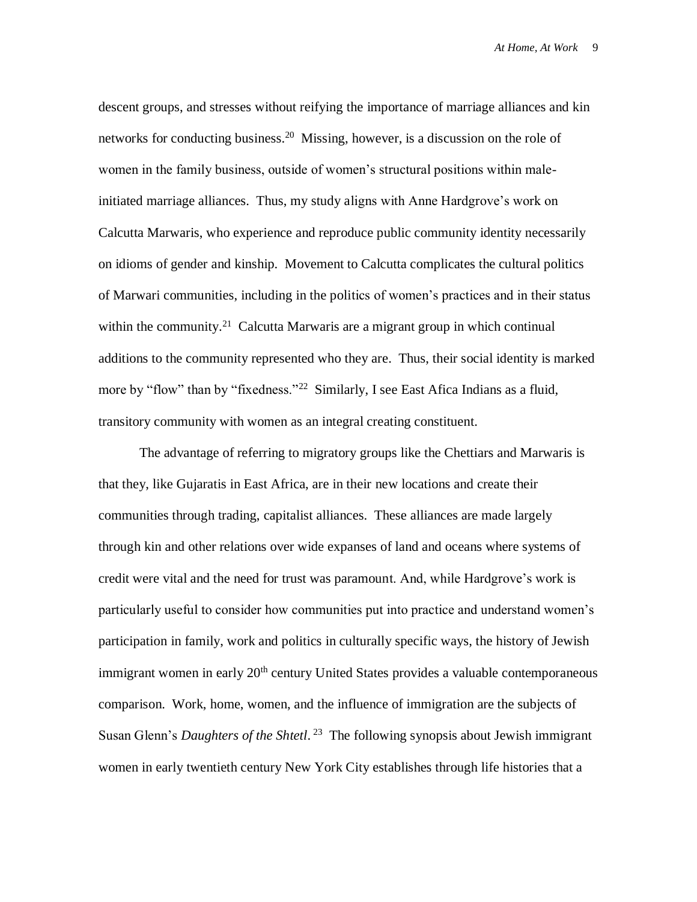descent groups, and stresses without reifying the importance of marriage alliances and kin networks for conducting business.<sup>20</sup> Missing, however, is a discussion on the role of women in the family business, outside of women's structural positions within maleinitiated marriage alliances. Thus, my study aligns with Anne Hardgrove's work on Calcutta Marwaris, who experience and reproduce public community identity necessarily on idioms of gender and kinship. Movement to Calcutta complicates the cultural politics of Marwari communities, including in the politics of women's practices and in their status within the community.<sup>21</sup> Calcutta Marwaris are a migrant group in which continual additions to the community represented who they are. Thus, their social identity is marked more by "flow" than by "fixedness."<sup>22</sup> Similarly, I see East Afica Indians as a fluid, transitory community with women as an integral creating constituent.

The advantage of referring to migratory groups like the Chettiars and Marwaris is that they, like Gujaratis in East Africa, are in their new locations and create their communities through trading, capitalist alliances. These alliances are made largely through kin and other relations over wide expanses of land and oceans where systems of credit were vital and the need for trust was paramount. And, while Hardgrove's work is particularly useful to consider how communities put into practice and understand women's participation in family, work and politics in culturally specific ways, the history of Jewish immigrant women in early 20<sup>th</sup> century United States provides a valuable contemporaneous comparison. Work, home, women, and the influence of immigration are the subjects of Susan Glenn's *Daughters of the Shtetl*.<sup>23</sup> The following synopsis about Jewish immigrant women in early twentieth century New York City establishes through life histories that a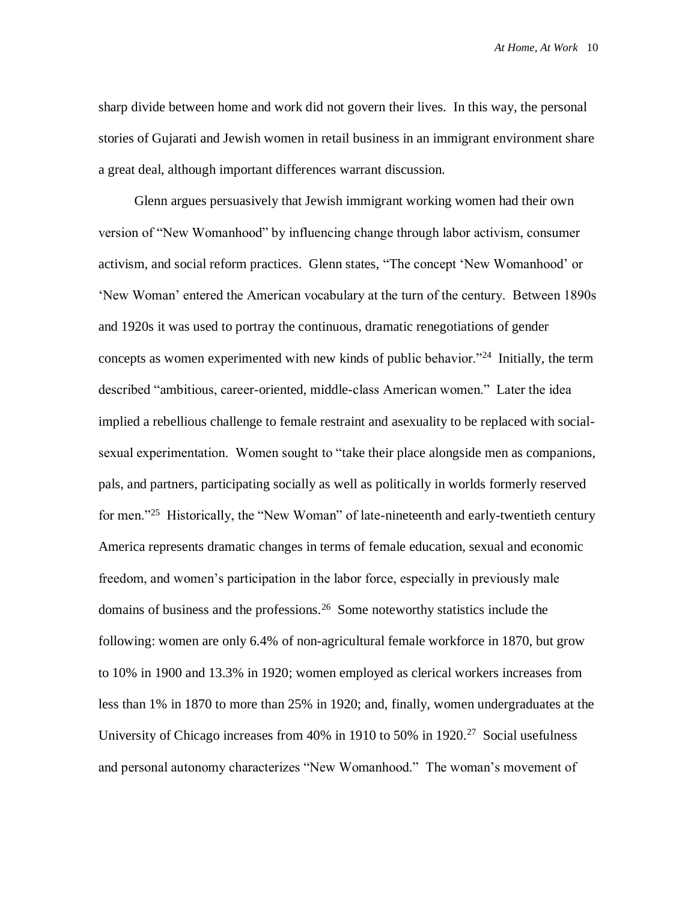sharp divide between home and work did not govern their lives. In this way, the personal stories of Gujarati and Jewish women in retail business in an immigrant environment share a great deal, although important differences warrant discussion.

Glenn argues persuasively that Jewish immigrant working women had their own version of "New Womanhood" by influencing change through labor activism, consumer activism, and social reform practices. Glenn states, "The concept 'New Womanhood' or 'New Woman' entered the American vocabulary at the turn of the century. Between 1890s and 1920s it was used to portray the continuous, dramatic renegotiations of gender concepts as women experimented with new kinds of public behavior."<sup>24</sup> Initially, the term described "ambitious, career-oriented, middle-class American women." Later the idea implied a rebellious challenge to female restraint and asexuality to be replaced with socialsexual experimentation. Women sought to "take their place alongside men as companions, pals, and partners, participating socially as well as politically in worlds formerly reserved for men."<sup>25</sup> Historically, the "New Woman" of late-nineteenth and early-twentieth century America represents dramatic changes in terms of female education, sexual and economic freedom, and women's participation in the labor force, especially in previously male domains of business and the professions.<sup>26</sup> Some noteworthy statistics include the following: women are only 6.4% of non-agricultural female workforce in 1870, but grow to 10% in 1900 and 13.3% in 1920; women employed as clerical workers increases from less than 1% in 1870 to more than 25% in 1920; and, finally, women undergraduates at the University of Chicago increases from 40% in 1910 to 50% in 1920.<sup>27</sup> Social usefulness and personal autonomy characterizes "New Womanhood." The woman's movement of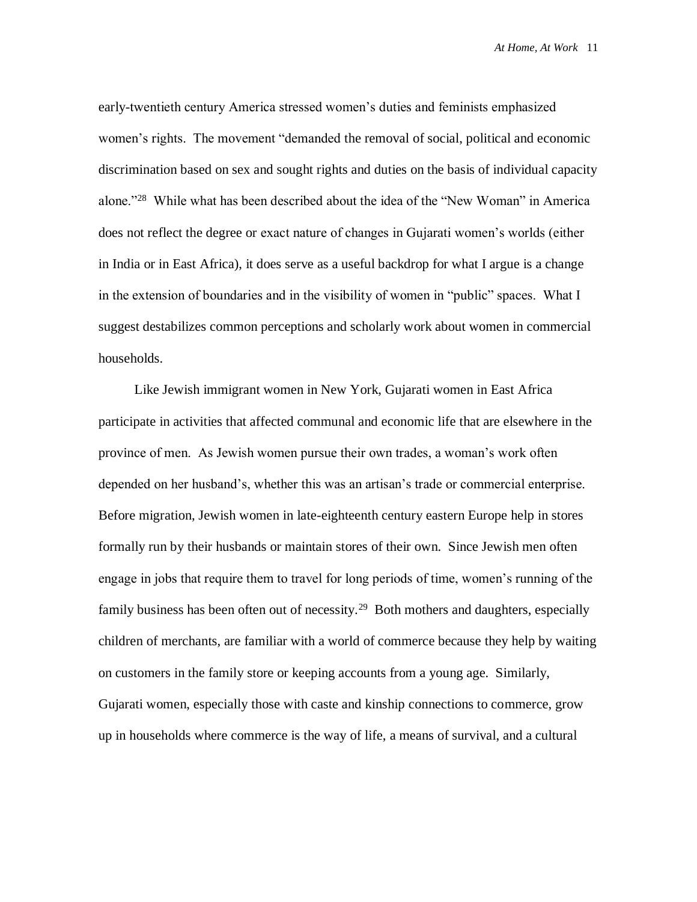early-twentieth century America stressed women's duties and feminists emphasized women's rights. The movement "demanded the removal of social, political and economic discrimination based on sex and sought rights and duties on the basis of individual capacity alone."<sup>28</sup> While what has been described about the idea of the "New Woman" in America does not reflect the degree or exact nature of changes in Gujarati women's worlds (either in India or in East Africa), it does serve as a useful backdrop for what I argue is a change in the extension of boundaries and in the visibility of women in "public" spaces. What I suggest destabilizes common perceptions and scholarly work about women in commercial households.

Like Jewish immigrant women in New York, Gujarati women in East Africa participate in activities that affected communal and economic life that are elsewhere in the province of men. As Jewish women pursue their own trades, a woman's work often depended on her husband's, whether this was an artisan's trade or commercial enterprise. Before migration, Jewish women in late-eighteenth century eastern Europe help in stores formally run by their husbands or maintain stores of their own. Since Jewish men often engage in jobs that require them to travel for long periods of time, women's running of the family business has been often out of necessity.<sup>29</sup> Both mothers and daughters, especially children of merchants, are familiar with a world of commerce because they help by waiting on customers in the family store or keeping accounts from a young age. Similarly, Gujarati women, especially those with caste and kinship connections to commerce, grow up in households where commerce is the way of life, a means of survival, and a cultural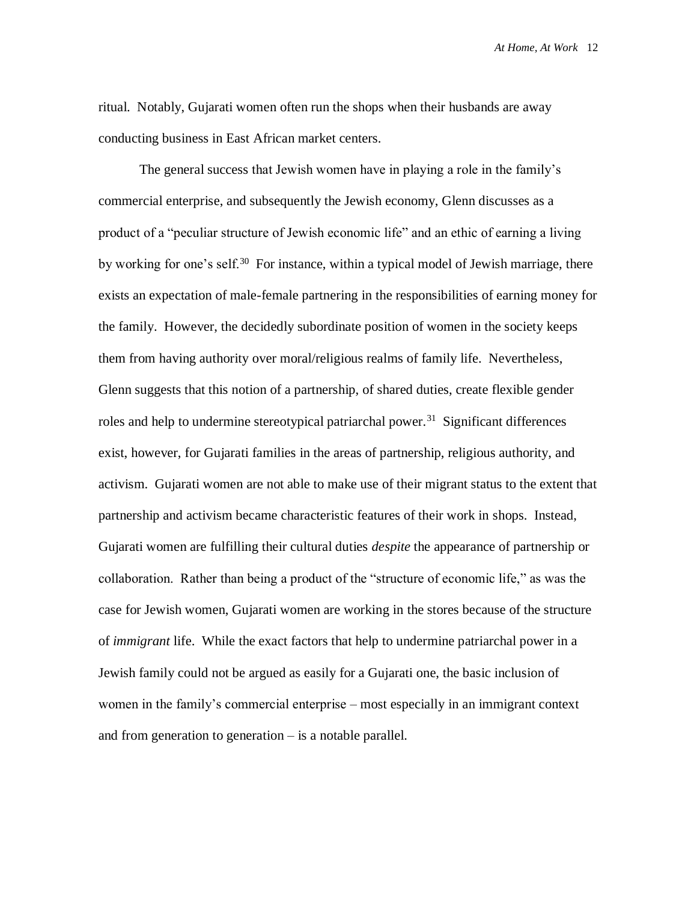ritual. Notably, Gujarati women often run the shops when their husbands are away conducting business in East African market centers.

The general success that Jewish women have in playing a role in the family's commercial enterprise, and subsequently the Jewish economy, Glenn discusses as a product of a "peculiar structure of Jewish economic life" and an ethic of earning a living by working for one's self.<sup>30</sup> For instance, within a typical model of Jewish marriage, there exists an expectation of male-female partnering in the responsibilities of earning money for the family. However, the decidedly subordinate position of women in the society keeps them from having authority over moral/religious realms of family life. Nevertheless, Glenn suggests that this notion of a partnership, of shared duties, create flexible gender roles and help to undermine stereotypical patriarchal power.<sup>31</sup> Significant differences exist, however, for Gujarati families in the areas of partnership, religious authority, and activism. Gujarati women are not able to make use of their migrant status to the extent that partnership and activism became characteristic features of their work in shops. Instead, Gujarati women are fulfilling their cultural duties *despite* the appearance of partnership or collaboration. Rather than being a product of the "structure of economic life," as was the case for Jewish women, Gujarati women are working in the stores because of the structure of *immigrant* life. While the exact factors that help to undermine patriarchal power in a Jewish family could not be argued as easily for a Gujarati one, the basic inclusion of women in the family's commercial enterprise – most especially in an immigrant context and from generation to generation – is a notable parallel.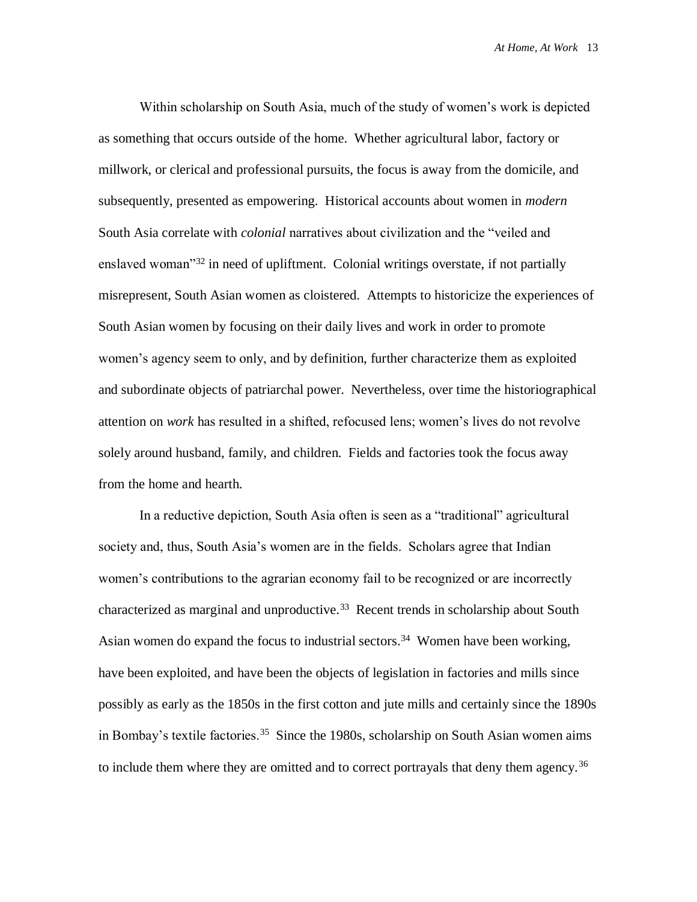Within scholarship on South Asia, much of the study of women's work is depicted as something that occurs outside of the home. Whether agricultural labor, factory or millwork, or clerical and professional pursuits, the focus is away from the domicile, and subsequently, presented as empowering. Historical accounts about women in *modern*  South Asia correlate with *colonial* narratives about civilization and the "veiled and enslaved woman"<sup>32</sup> in need of upliftment. Colonial writings overstate, if not partially misrepresent, South Asian women as cloistered. Attempts to historicize the experiences of South Asian women by focusing on their daily lives and work in order to promote women's agency seem to only, and by definition, further characterize them as exploited and subordinate objects of patriarchal power. Nevertheless, over time the historiographical attention on *work* has resulted in a shifted, refocused lens; women's lives do not revolve solely around husband, family, and children. Fields and factories took the focus away from the home and hearth.

In a reductive depiction, South Asia often is seen as a "traditional" agricultural society and, thus, South Asia's women are in the fields. Scholars agree that Indian women's contributions to the agrarian economy fail to be recognized or are incorrectly characterized as marginal and unproductive.<sup>33</sup> Recent trends in scholarship about South Asian women do expand the focus to industrial sectors.<sup>34</sup> Women have been working, have been exploited, and have been the objects of legislation in factories and mills since possibly as early as the 1850s in the first cotton and jute mills and certainly since the 1890s in Bombay's textile factories.<sup>35</sup> Since the 1980s, scholarship on South Asian women aims to include them where they are omitted and to correct portrayals that deny them agency.<sup>36</sup>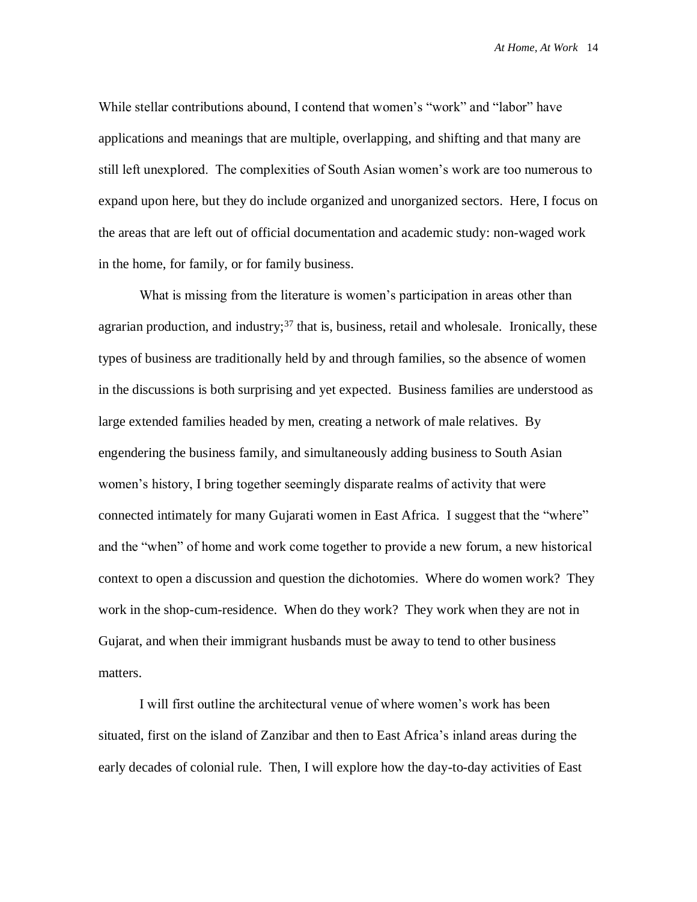While stellar contributions abound, I contend that women's "work" and "labor" have applications and meanings that are multiple, overlapping, and shifting and that many are still left unexplored. The complexities of South Asian women's work are too numerous to expand upon here, but they do include organized and unorganized sectors. Here, I focus on the areas that are left out of official documentation and academic study: non-waged work in the home, for family, or for family business.

What is missing from the literature is women's participation in areas other than agrarian production, and industry;  $37$  that is, business, retail and wholesale. Ironically, these types of business are traditionally held by and through families, so the absence of women in the discussions is both surprising and yet expected. Business families are understood as large extended families headed by men, creating a network of male relatives. By engendering the business family, and simultaneously adding business to South Asian women's history, I bring together seemingly disparate realms of activity that were connected intimately for many Gujarati women in East Africa. I suggest that the "where" and the "when" of home and work come together to provide a new forum, a new historical context to open a discussion and question the dichotomies. Where do women work? They work in the shop-cum-residence. When do they work? They work when they are not in Gujarat, and when their immigrant husbands must be away to tend to other business matters.

I will first outline the architectural venue of where women's work has been situated, first on the island of Zanzibar and then to East Africa's inland areas during the early decades of colonial rule. Then, I will explore how the day-to-day activities of East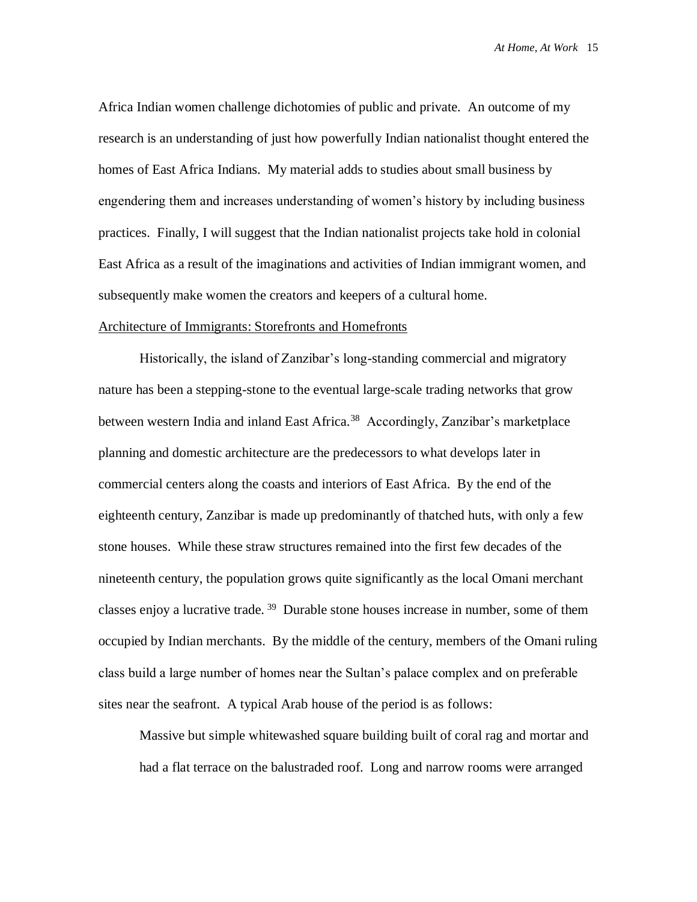Africa Indian women challenge dichotomies of public and private. An outcome of my research is an understanding of just how powerfully Indian nationalist thought entered the homes of East Africa Indians. My material adds to studies about small business by engendering them and increases understanding of women's history by including business practices. Finally, I will suggest that the Indian nationalist projects take hold in colonial East Africa as a result of the imaginations and activities of Indian immigrant women, and subsequently make women the creators and keepers of a cultural home.

# Architecture of Immigrants: Storefronts and Homefronts

Historically, the island of Zanzibar's long-standing commercial and migratory nature has been a stepping-stone to the eventual large-scale trading networks that grow between western India and inland East Africa.<sup>38</sup> Accordingly, Zanzibar's marketplace planning and domestic architecture are the predecessors to what develops later in commercial centers along the coasts and interiors of East Africa. By the end of the eighteenth century, Zanzibar is made up predominantly of thatched huts, with only a few stone houses. While these straw structures remained into the first few decades of the nineteenth century, the population grows quite significantly as the local Omani merchant classes enjoy a lucrative trade.<sup>39</sup> Durable stone houses increase in number, some of them occupied by Indian merchants. By the middle of the century, members of the Omani ruling class build a large number of homes near the Sultan's palace complex and on preferable sites near the seafront. A typical Arab house of the period is as follows:

Massive but simple whitewashed square building built of coral rag and mortar and had a flat terrace on the balustraded roof. Long and narrow rooms were arranged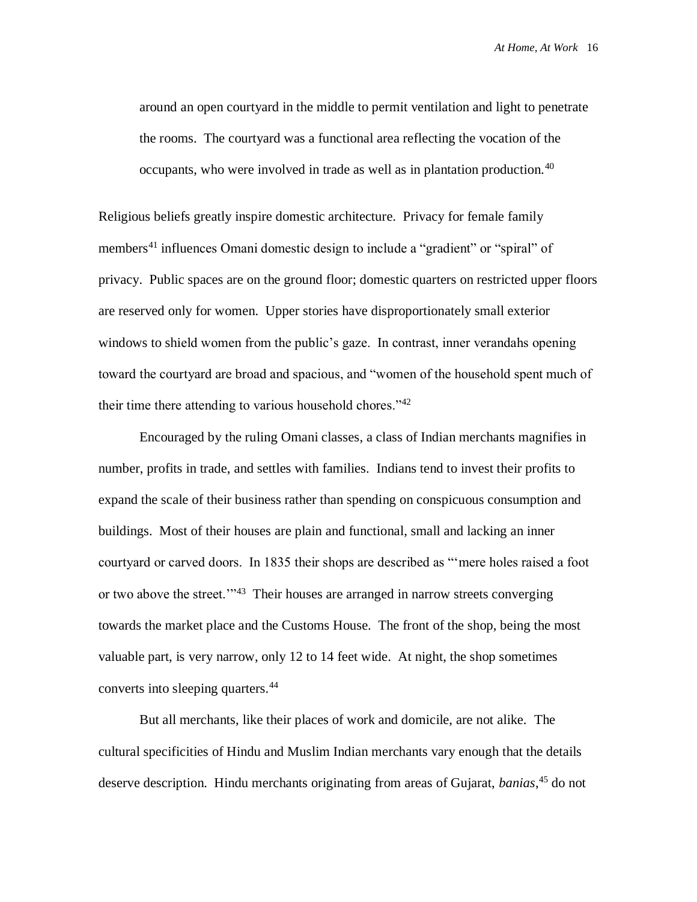around an open courtyard in the middle to permit ventilation and light to penetrate the rooms. The courtyard was a functional area reflecting the vocation of the occupants, who were involved in trade as well as in plantation production.<sup>40</sup>

Religious beliefs greatly inspire domestic architecture. Privacy for female family members<sup>41</sup> influences Omani domestic design to include a "gradient" or "spiral" of privacy. Public spaces are on the ground floor; domestic quarters on restricted upper floors are reserved only for women. Upper stories have disproportionately small exterior windows to shield women from the public's gaze. In contrast, inner verandahs opening toward the courtyard are broad and spacious, and "women of the household spent much of their time there attending to various household chores."<sup>42</sup>

Encouraged by the ruling Omani classes, a class of Indian merchants magnifies in number, profits in trade, and settles with families. Indians tend to invest their profits to expand the scale of their business rather than spending on conspicuous consumption and buildings. Most of their houses are plain and functional, small and lacking an inner courtyard or carved doors. In 1835 their shops are described as "'mere holes raised a foot or two above the street.<sup>''43</sup> Their houses are arranged in narrow streets converging towards the market place and the Customs House. The front of the shop, being the most valuable part, is very narrow, only 12 to 14 feet wide. At night, the shop sometimes converts into sleeping quarters.<sup>44</sup>

But all merchants, like their places of work and domicile, are not alike. The cultural specificities of Hindu and Muslim Indian merchants vary enough that the details deserve description. Hindu merchants originating from areas of Gujarat, *banias*, <sup>45</sup> do not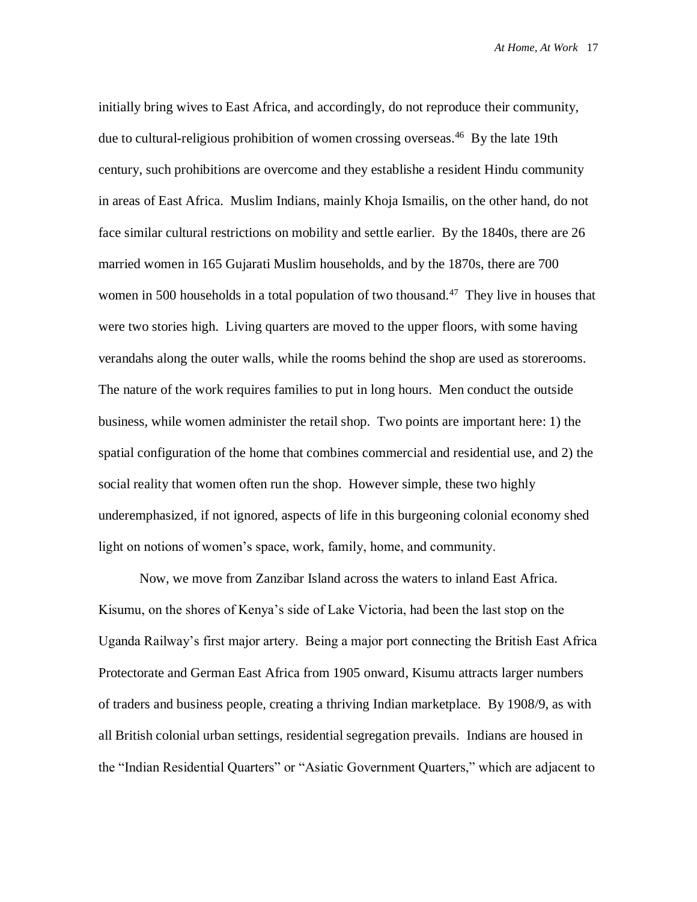initially bring wives to East Africa, and accordingly, do not reproduce their community, due to cultural-religious prohibition of women crossing overseas.<sup>46</sup> By the late 19th century, such prohibitions are overcome and they establishe a resident Hindu community in areas of East Africa. Muslim Indians, mainly Khoja Ismailis, on the other hand, do not face similar cultural restrictions on mobility and settle earlier. By the 1840s, there are 26 married women in 165 Gujarati Muslim households, and by the 1870s, there are 700 women in 500 households in a total population of two thousand.<sup>47</sup> They live in houses that were two stories high. Living quarters are moved to the upper floors, with some having verandahs along the outer walls, while the rooms behind the shop are used as storerooms. The nature of the work requires families to put in long hours. Men conduct the outside business, while women administer the retail shop. Two points are important here: 1) the spatial configuration of the home that combines commercial and residential use, and 2) the social reality that women often run the shop. However simple, these two highly underemphasized, if not ignored, aspects of life in this burgeoning colonial economy shed light on notions of women's space, work, family, home, and community.

Now, we move from Zanzibar Island across the waters to inland East Africa. Kisumu, on the shores of Kenya's side of Lake Victoria, had been the last stop on the Uganda Railway's first major artery. Being a major port connecting the British East Africa Protectorate and German East Africa from 1905 onward, Kisumu attracts larger numbers of traders and business people, creating a thriving Indian marketplace. By 1908/9, as with all British colonial urban settings, residential segregation prevails. Indians are housed in the "Indian Residential Quarters" or "Asiatic Government Quarters," which are adjacent to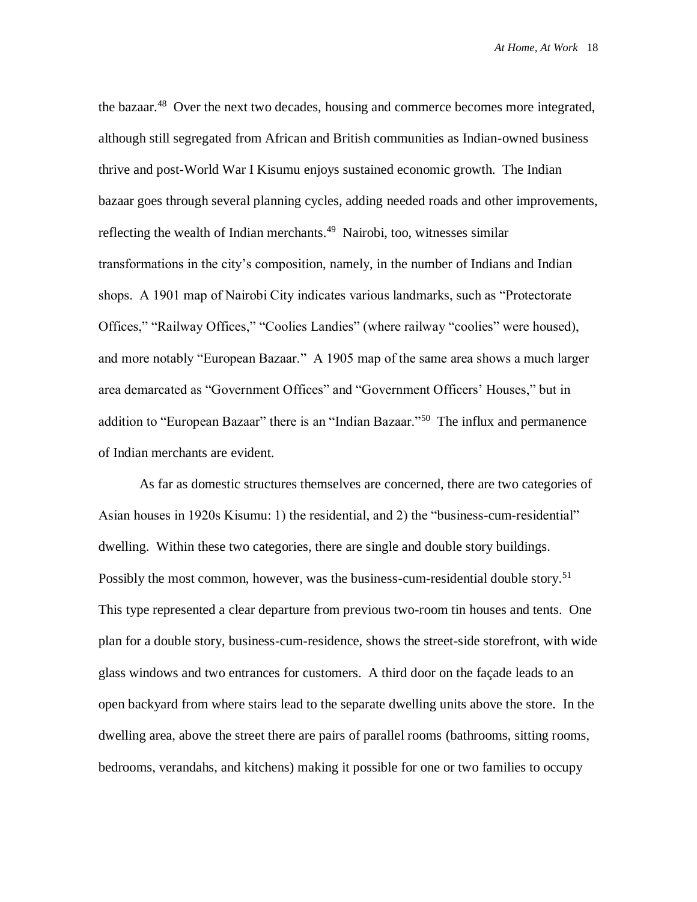the bazaar.<sup>48</sup> Over the next two decades, housing and commerce becomes more integrated, although still segregated from African and British communities as Indian-owned business thrive and post-World War I Kisumu enjoys sustained economic growth. The Indian bazaar goes through several planning cycles, adding needed roads and other improvements, reflecting the wealth of Indian merchants.<sup>49</sup> Nairobi, too, witnesses similar transformations in the city's composition, namely, in the number of Indians and Indian shops. A 1901 map of Nairobi City indicates various landmarks, such as "Protectorate Offices," "Railway Offices," "Coolies Landies" (where railway "coolies" were housed), and more notably "European Bazaar." A 1905 map of the same area shows a much larger area demarcated as "Government Offices" and "Government Officers' Houses," but in addition to "European Bazaar" there is an "Indian Bazaar."<sup>50</sup> The influx and permanence of Indian merchants are evident.

As far as domestic structures themselves are concerned, there are two categories of Asian houses in 1920s Kisumu: 1) the residential, and 2) the "business-cum-residential" dwelling. Within these two categories, there are single and double story buildings. Possibly the most common, however, was the business-cum-residential double story.<sup>51</sup> This type represented a clear departure from previous two-room tin houses and tents. One plan for a double story, business-cum-residence, shows the street-side storefront, with wide glass windows and two entrances for customers. A third door on the façade leads to an open backyard from where stairs lead to the separate dwelling units above the store. In the dwelling area, above the street there are pairs of parallel rooms (bathrooms, sitting rooms, bedrooms, verandahs, and kitchens) making it possible for one or two families to occupy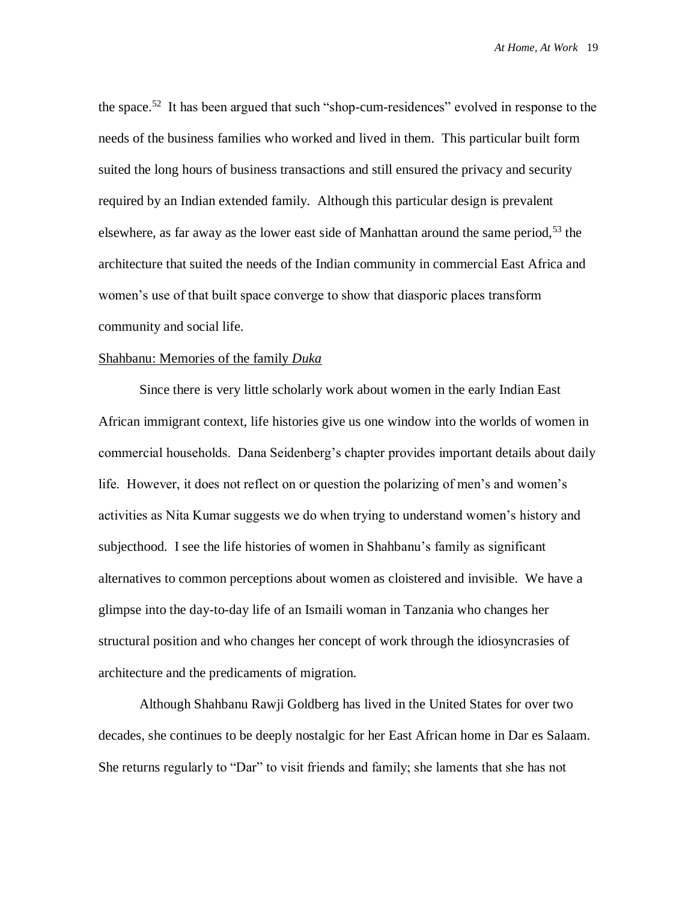the space.<sup>52</sup> It has been argued that such "shop-cum-residences" evolved in response to the needs of the business families who worked and lived in them. This particular built form suited the long hours of business transactions and still ensured the privacy and security required by an Indian extended family. Although this particular design is prevalent elsewhere, as far away as the lower east side of Manhattan around the same period,<sup>53</sup> the architecture that suited the needs of the Indian community in commercial East Africa and women's use of that built space converge to show that diasporic places transform community and social life.

# Shahbanu: Memories of the family *Duka*

Since there is very little scholarly work about women in the early Indian East African immigrant context, life histories give us one window into the worlds of women in commercial households. Dana Seidenberg's chapter provides important details about daily life. However, it does not reflect on or question the polarizing of men's and women's activities as Nita Kumar suggests we do when trying to understand women's history and subjecthood. I see the life histories of women in Shahbanu's family as significant alternatives to common perceptions about women as cloistered and invisible. We have a glimpse into the day-to-day life of an Ismaili woman in Tanzania who changes her structural position and who changes her concept of work through the idiosyncrasies of architecture and the predicaments of migration.

Although Shahbanu Rawji Goldberg has lived in the United States for over two decades, she continues to be deeply nostalgic for her East African home in Dar es Salaam. She returns regularly to "Dar" to visit friends and family; she laments that she has not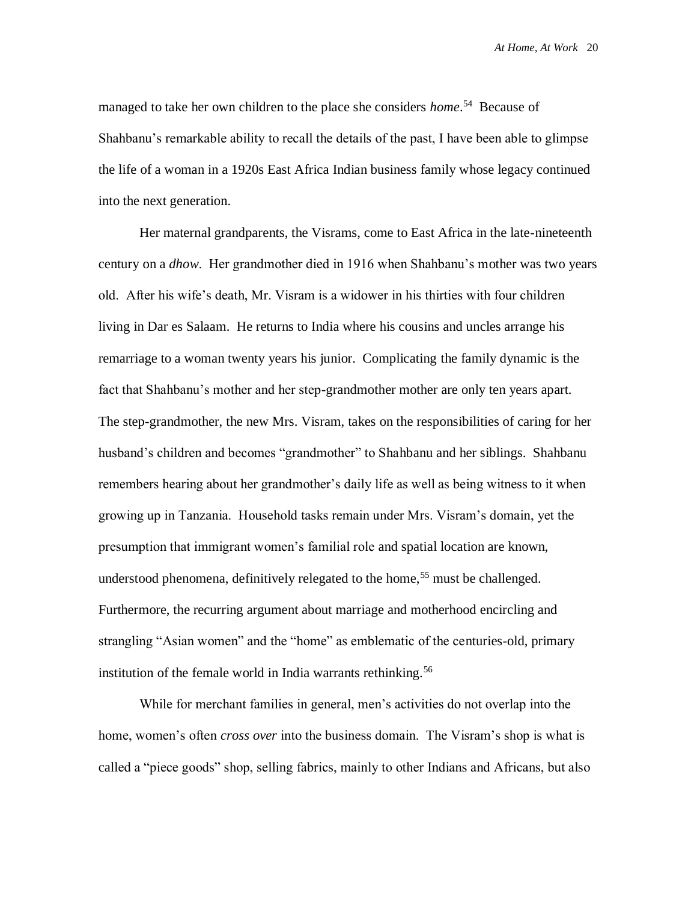managed to take her own children to the place she considers *home*.<sup>54</sup> Because of Shahbanu's remarkable ability to recall the details of the past, I have been able to glimpse the life of a woman in a 1920s East Africa Indian business family whose legacy continued into the next generation.

Her maternal grandparents, the Visrams, come to East Africa in the late-nineteenth century on a *dhow*. Her grandmother died in 1916 when Shahbanu's mother was two years old. After his wife's death, Mr. Visram is a widower in his thirties with four children living in Dar es Salaam. He returns to India where his cousins and uncles arrange his remarriage to a woman twenty years his junior. Complicating the family dynamic is the fact that Shahbanu's mother and her step-grandmother mother are only ten years apart. The step-grandmother, the new Mrs. Visram, takes on the responsibilities of caring for her husband's children and becomes "grandmother" to Shahbanu and her siblings. Shahbanu remembers hearing about her grandmother's daily life as well as being witness to it when growing up in Tanzania. Household tasks remain under Mrs. Visram's domain, yet the presumption that immigrant women's familial role and spatial location are known, understood phenomena, definitively relegated to the home,<sup>55</sup> must be challenged. Furthermore, the recurring argument about marriage and motherhood encircling and strangling "Asian women" and the "home" as emblematic of the centuries-old, primary institution of the female world in India warrants rethinking.<sup>56</sup>

While for merchant families in general, men's activities do not overlap into the home, women's often *cross over* into the business domain. The Visram's shop is what is called a "piece goods" shop, selling fabrics, mainly to other Indians and Africans, but also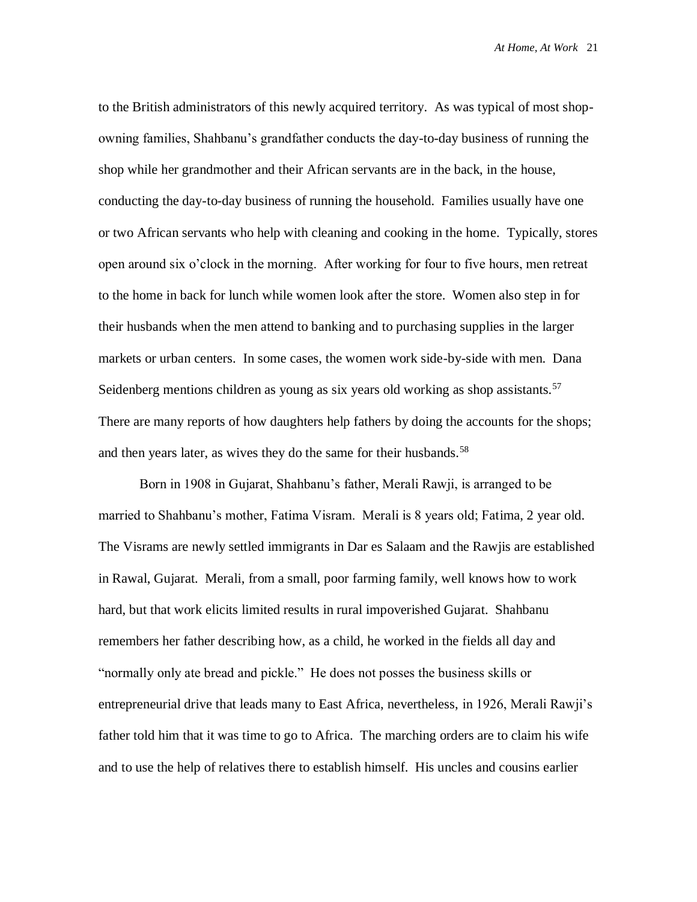to the British administrators of this newly acquired territory. As was typical of most shopowning families, Shahbanu's grandfather conducts the day-to-day business of running the shop while her grandmother and their African servants are in the back, in the house, conducting the day-to-day business of running the household. Families usually have one or two African servants who help with cleaning and cooking in the home. Typically, stores open around six o'clock in the morning. After working for four to five hours, men retreat to the home in back for lunch while women look after the store. Women also step in for their husbands when the men attend to banking and to purchasing supplies in the larger markets or urban centers. In some cases, the women work side-by-side with men. Dana Seidenberg mentions children as young as six years old working as shop assistants.<sup>57</sup> There are many reports of how daughters help fathers by doing the accounts for the shops; and then years later, as wives they do the same for their husbands.<sup>58</sup>

Born in 1908 in Gujarat, Shahbanu's father, Merali Rawji, is arranged to be married to Shahbanu's mother, Fatima Visram. Merali is 8 years old; Fatima, 2 year old. The Visrams are newly settled immigrants in Dar es Salaam and the Rawjis are established in Rawal, Gujarat. Merali, from a small, poor farming family, well knows how to work hard, but that work elicits limited results in rural impoverished Gujarat. Shahbanu remembers her father describing how, as a child, he worked in the fields all day and "normally only ate bread and pickle." He does not posses the business skills or entrepreneurial drive that leads many to East Africa, nevertheless, in 1926, Merali Rawji's father told him that it was time to go to Africa. The marching orders are to claim his wife and to use the help of relatives there to establish himself. His uncles and cousins earlier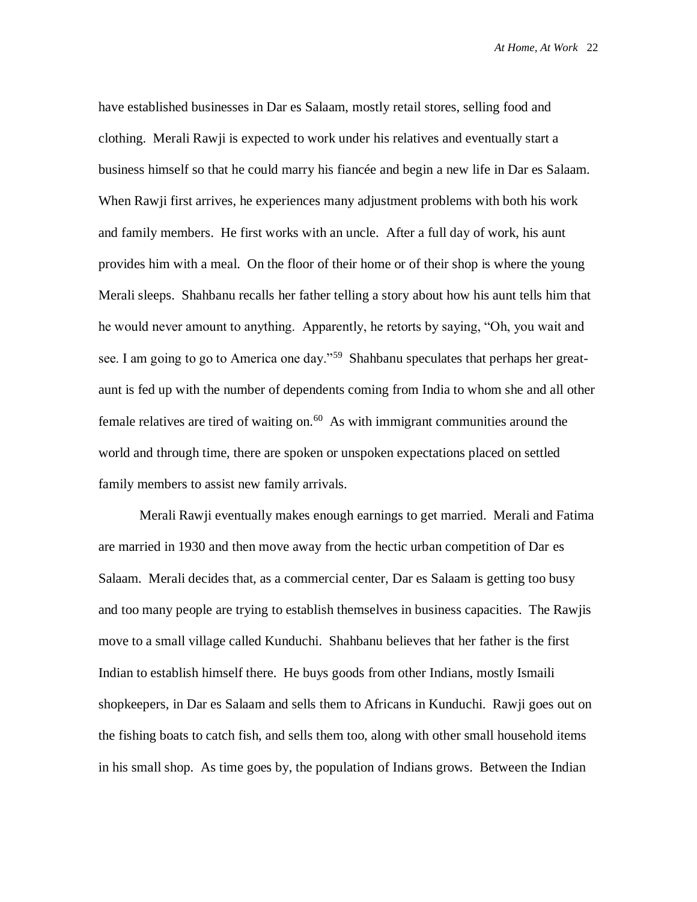have established businesses in Dar es Salaam, mostly retail stores, selling food and clothing. Merali Rawji is expected to work under his relatives and eventually start a business himself so that he could marry his fiancée and begin a new life in Dar es Salaam. When Rawji first arrives, he experiences many adjustment problems with both his work and family members. He first works with an uncle. After a full day of work, his aunt provides him with a meal. On the floor of their home or of their shop is where the young Merali sleeps. Shahbanu recalls her father telling a story about how his aunt tells him that he would never amount to anything. Apparently, he retorts by saying, "Oh, you wait and see. I am going to go to America one day."<sup>59</sup> Shahbanu speculates that perhaps her greataunt is fed up with the number of dependents coming from India to whom she and all other female relatives are tired of waiting on. $60$  As with immigrant communities around the world and through time, there are spoken or unspoken expectations placed on settled family members to assist new family arrivals.

Merali Rawji eventually makes enough earnings to get married. Merali and Fatima are married in 1930 and then move away from the hectic urban competition of Dar es Salaam. Merali decides that, as a commercial center, Dar es Salaam is getting too busy and too many people are trying to establish themselves in business capacities. The Rawjis move to a small village called Kunduchi. Shahbanu believes that her father is the first Indian to establish himself there. He buys goods from other Indians, mostly Ismaili shopkeepers, in Dar es Salaam and sells them to Africans in Kunduchi. Rawji goes out on the fishing boats to catch fish, and sells them too, along with other small household items in his small shop. As time goes by, the population of Indians grows. Between the Indian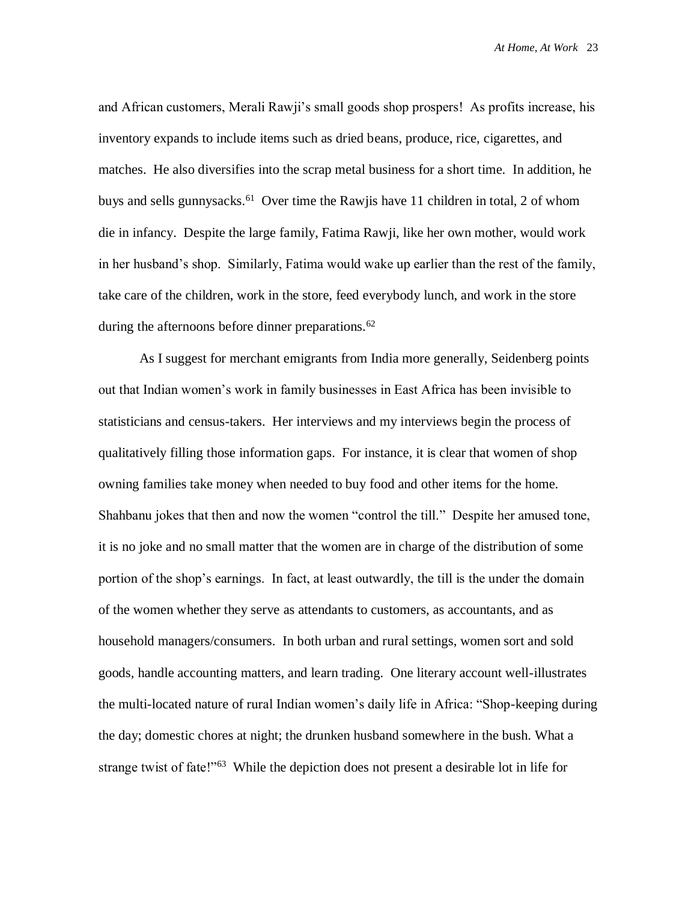and African customers, Merali Rawji's small goods shop prospers! As profits increase, his inventory expands to include items such as dried beans, produce, rice, cigarettes, and matches. He also diversifies into the scrap metal business for a short time. In addition, he buys and sells gunnysacks.<sup>61</sup> Over time the Rawjis have 11 children in total, 2 of whom die in infancy. Despite the large family, Fatima Rawji, like her own mother, would work in her husband's shop. Similarly, Fatima would wake up earlier than the rest of the family, take care of the children, work in the store, feed everybody lunch, and work in the store during the afternoons before dinner preparations.  $62$ 

As I suggest for merchant emigrants from India more generally, Seidenberg points out that Indian women's work in family businesses in East Africa has been invisible to statisticians and census-takers. Her interviews and my interviews begin the process of qualitatively filling those information gaps. For instance, it is clear that women of shop owning families take money when needed to buy food and other items for the home. Shahbanu jokes that then and now the women "control the till." Despite her amused tone, it is no joke and no small matter that the women are in charge of the distribution of some portion of the shop's earnings. In fact, at least outwardly, the till is the under the domain of the women whether they serve as attendants to customers, as accountants, and as household managers/consumers. In both urban and rural settings, women sort and sold goods, handle accounting matters, and learn trading. One literary account well-illustrates the multi-located nature of rural Indian women's daily life in Africa: "Shop-keeping during the day; domestic chores at night; the drunken husband somewhere in the bush. What a strange twist of fate!"<sup>63</sup> While the depiction does not present a desirable lot in life for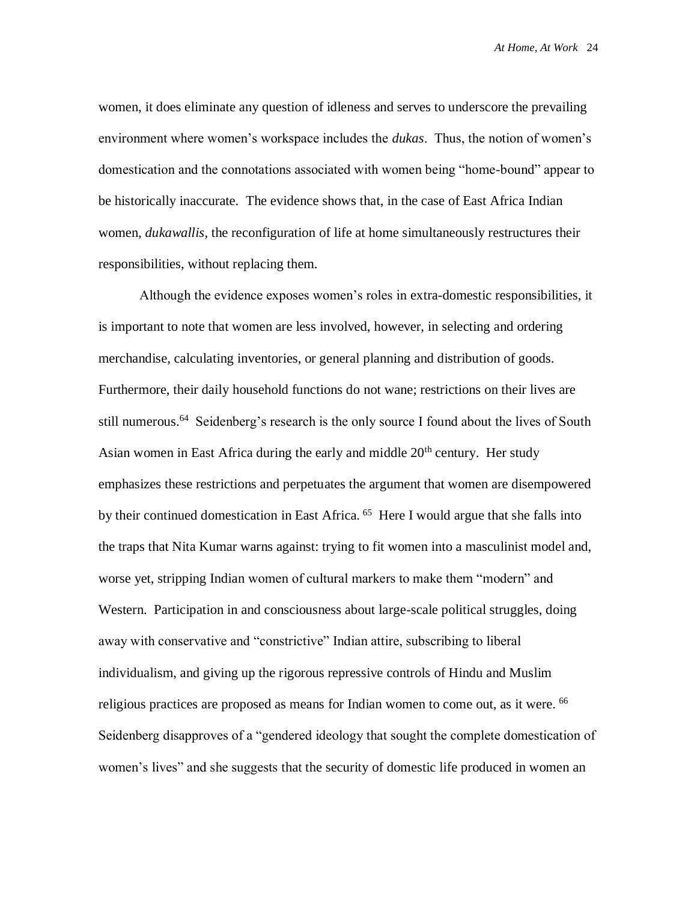women, it does eliminate any question of idleness and serves to underscore the prevailing environment where women's workspace includes the *dukas*. Thus, the notion of women's domestication and the connotations associated with women being "home-bound" appear to be historically inaccurate. The evidence shows that, in the case of East Africa Indian women, *dukawallis*, the reconfiguration of life at home simultaneously restructures their responsibilities, without replacing them.

Although the evidence exposes women's roles in extra-domestic responsibilities, it is important to note that women are less involved, however, in selecting and ordering merchandise, calculating inventories, or general planning and distribution of goods. Furthermore, their daily household functions do not wane; restrictions on their lives are still numerous.<sup>64</sup> Seidenberg's research is the only source I found about the lives of South Asian women in East Africa during the early and middle 20<sup>th</sup> century. Her study emphasizes these restrictions and perpetuates the argument that women are disempowered by their continued domestication in East Africa. <sup>65</sup> Here I would argue that she falls into the traps that Nita Kumar warns against: trying to fit women into a masculinist model and, worse yet, stripping Indian women of cultural markers to make them "modern" and Western. Participation in and consciousness about large-scale political struggles, doing away with conservative and "constrictive" Indian attire, subscribing to liberal individualism, and giving up the rigorous repressive controls of Hindu and Muslim religious practices are proposed as means for Indian women to come out, as it were. <sup>66</sup> Seidenberg disapproves of a "gendered ideology that sought the complete domestication of women's lives" and she suggests that the security of domestic life produced in women an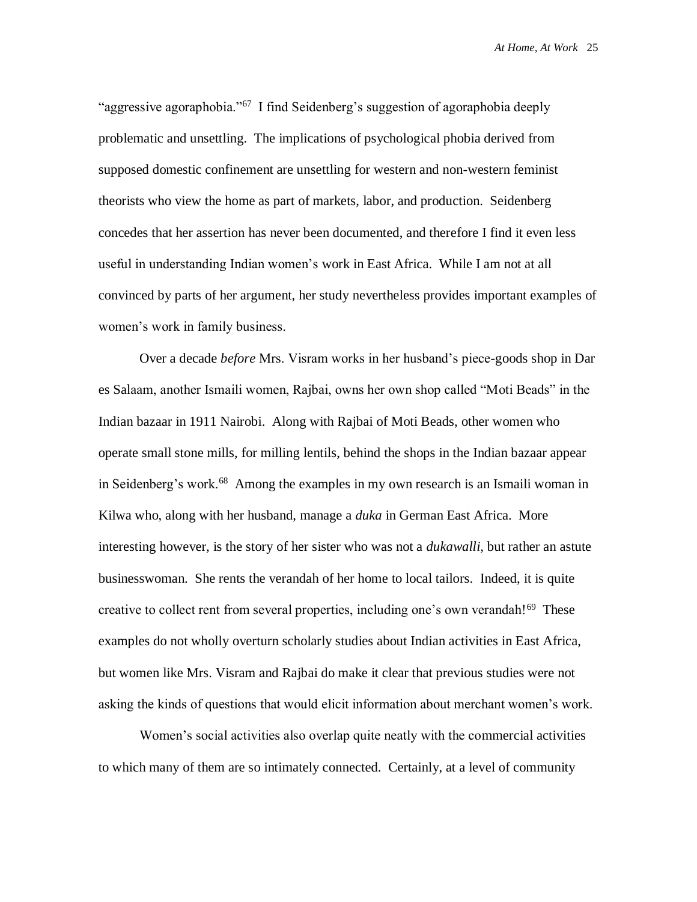"aggressive agoraphobia."<sup>67</sup> I find Seidenberg's suggestion of agoraphobia deeply problematic and unsettling. The implications of psychological phobia derived from supposed domestic confinement are unsettling for western and non-western feminist theorists who view the home as part of markets, labor, and production. Seidenberg concedes that her assertion has never been documented, and therefore I find it even less useful in understanding Indian women's work in East Africa. While I am not at all convinced by parts of her argument, her study nevertheless provides important examples of women's work in family business.

Over a decade *before* Mrs. Visram works in her husband's piece-goods shop in Dar es Salaam, another Ismaili women, Rajbai, owns her own shop called "Moti Beads" in the Indian bazaar in 1911 Nairobi. Along with Rajbai of Moti Beads, other women who operate small stone mills, for milling lentils, behind the shops in the Indian bazaar appear in Seidenberg's work.<sup>68</sup> Among the examples in my own research is an Ismaili woman in Kilwa who, along with her husband, manage a *duka* in German East Africa. More interesting however, is the story of her sister who was not a *dukawalli,* but rather an astute businesswoman. She rents the verandah of her home to local tailors. Indeed, it is quite creative to collect rent from several properties, including one's own verandah!<sup>69</sup> These examples do not wholly overturn scholarly studies about Indian activities in East Africa, but women like Mrs. Visram and Rajbai do make it clear that previous studies were not asking the kinds of questions that would elicit information about merchant women's work.

Women's social activities also overlap quite neatly with the commercial activities to which many of them are so intimately connected. Certainly, at a level of community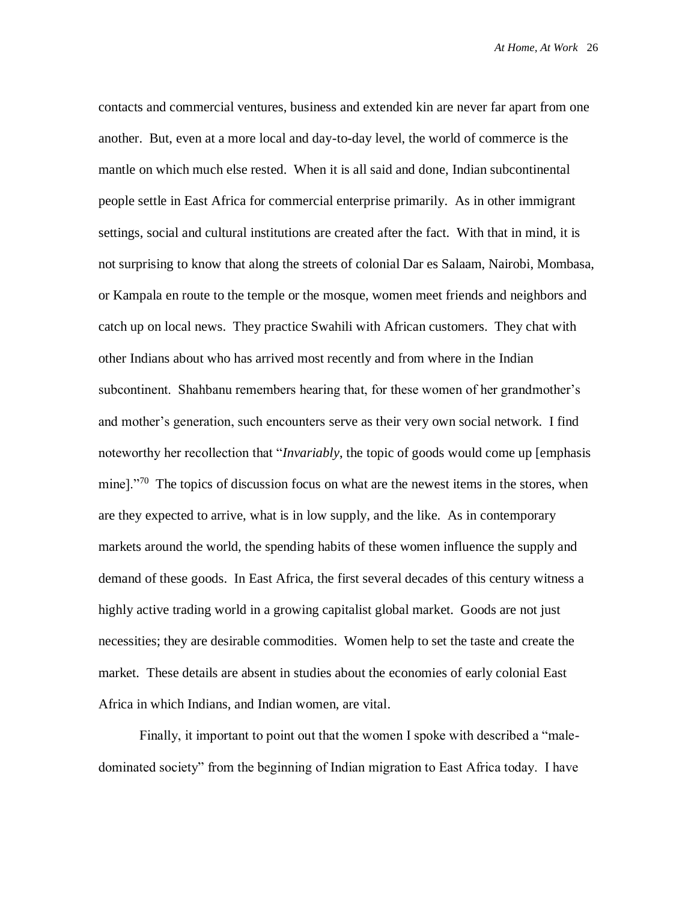contacts and commercial ventures, business and extended kin are never far apart from one another. But, even at a more local and day-to-day level, the world of commerce is the mantle on which much else rested. When it is all said and done, Indian subcontinental people settle in East Africa for commercial enterprise primarily. As in other immigrant settings, social and cultural institutions are created after the fact. With that in mind, it is not surprising to know that along the streets of colonial Dar es Salaam, Nairobi, Mombasa, or Kampala en route to the temple or the mosque, women meet friends and neighbors and catch up on local news. They practice Swahili with African customers. They chat with other Indians about who has arrived most recently and from where in the Indian subcontinent. Shahbanu remembers hearing that, for these women of her grandmother's and mother's generation, such encounters serve as their very own social network. I find noteworthy her recollection that "*Invariably*, the topic of goods would come up [emphasis mine]."<sup>70</sup> The topics of discussion focus on what are the newest items in the stores, when are they expected to arrive, what is in low supply, and the like. As in contemporary markets around the world, the spending habits of these women influence the supply and demand of these goods. In East Africa, the first several decades of this century witness a highly active trading world in a growing capitalist global market. Goods are not just necessities; they are desirable commodities. Women help to set the taste and create the market. These details are absent in studies about the economies of early colonial East Africa in which Indians, and Indian women, are vital.

Finally, it important to point out that the women I spoke with described a "maledominated society" from the beginning of Indian migration to East Africa today. I have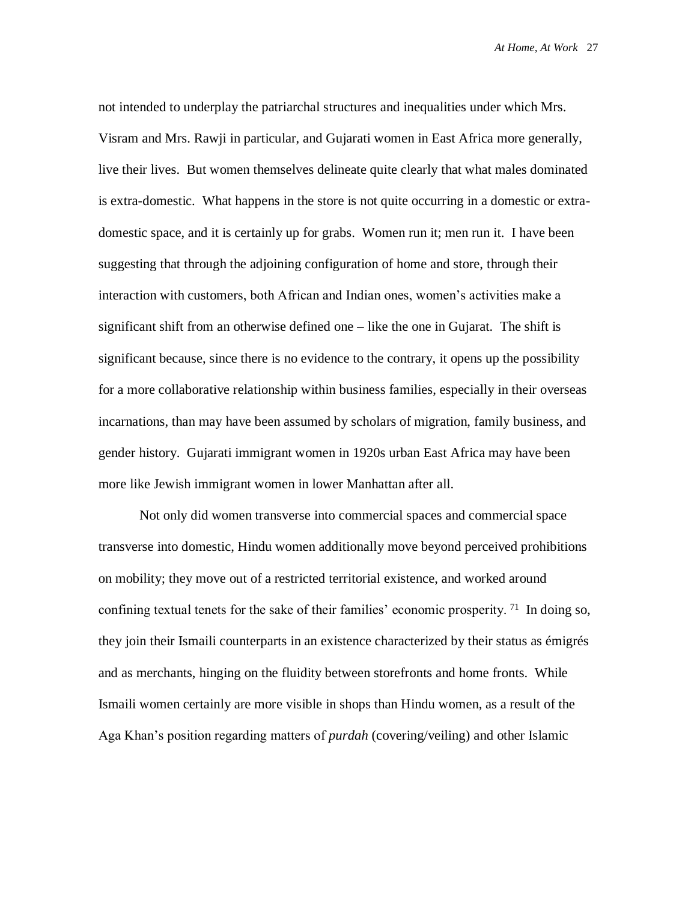not intended to underplay the patriarchal structures and inequalities under which Mrs. Visram and Mrs. Rawji in particular, and Gujarati women in East Africa more generally, live their lives. But women themselves delineate quite clearly that what males dominated is extra-domestic. What happens in the store is not quite occurring in a domestic or extradomestic space, and it is certainly up for grabs. Women run it; men run it. I have been suggesting that through the adjoining configuration of home and store, through their interaction with customers, both African and Indian ones, women's activities make a significant shift from an otherwise defined one – like the one in Gujarat. The shift is significant because, since there is no evidence to the contrary, it opens up the possibility for a more collaborative relationship within business families, especially in their overseas incarnations, than may have been assumed by scholars of migration, family business, and gender history. Gujarati immigrant women in 1920s urban East Africa may have been more like Jewish immigrant women in lower Manhattan after all.

Not only did women transverse into commercial spaces and commercial space transverse into domestic, Hindu women additionally move beyond perceived prohibitions on mobility; they move out of a restricted territorial existence, and worked around confining textual tenets for the sake of their families' economic prosperity.<sup>71</sup> In doing so, they join their Ismaili counterparts in an existence characterized by their status as émigrés and as merchants, hinging on the fluidity between storefronts and home fronts. While Ismaili women certainly are more visible in shops than Hindu women, as a result of the Aga Khan's position regarding matters of *purdah* (covering/veiling) and other Islamic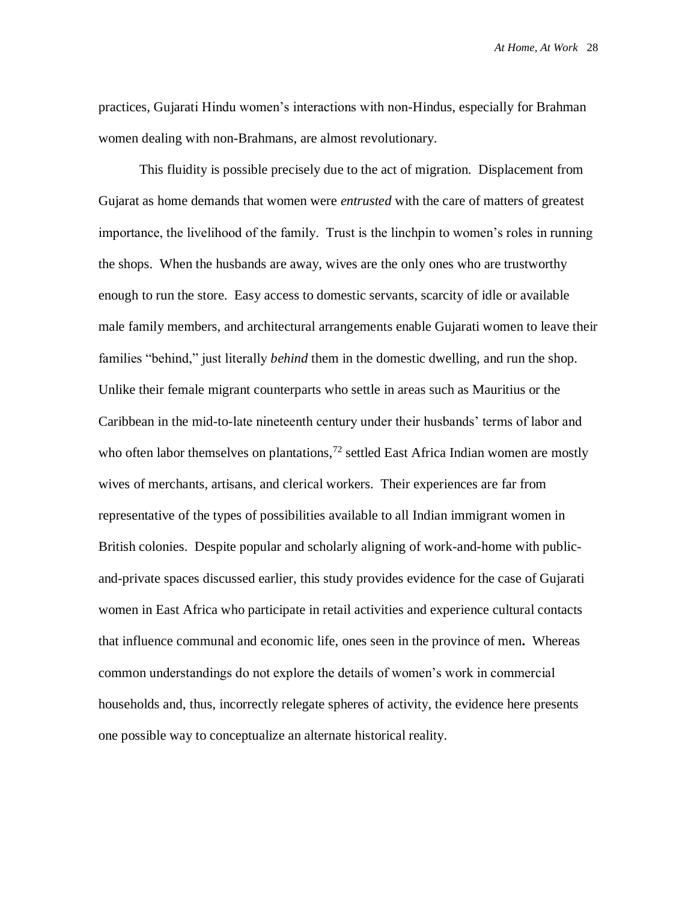practices, Gujarati Hindu women's interactions with non-Hindus, especially for Brahman women dealing with non-Brahmans, are almost revolutionary.

This fluidity is possible precisely due to the act of migration. Displacement from Gujarat as home demands that women were *entrusted* with the care of matters of greatest importance, the livelihood of the family. Trust is the linchpin to women's roles in running the shops. When the husbands are away, wives are the only ones who are trustworthy enough to run the store. Easy access to domestic servants, scarcity of idle or available male family members, and architectural arrangements enable Gujarati women to leave their families "behind," just literally *behind* them in the domestic dwelling, and run the shop. Unlike their female migrant counterparts who settle in areas such as Mauritius or the Caribbean in the mid-to-late nineteenth century under their husbands' terms of labor and who often labor themselves on plantations,  $72$  settled East Africa Indian women are mostly wives of merchants, artisans, and clerical workers. Their experiences are far from representative of the types of possibilities available to all Indian immigrant women in British colonies. Despite popular and scholarly aligning of work-and-home with publicand-private spaces discussed earlier, this study provides evidence for the case of Gujarati women in East Africa who participate in retail activities and experience cultural contacts that influence communal and economic life, ones seen in the province of men**.** Whereas common understandings do not explore the details of women's work in commercial households and, thus, incorrectly relegate spheres of activity, the evidence here presents one possible way to conceptualize an alternate historical reality.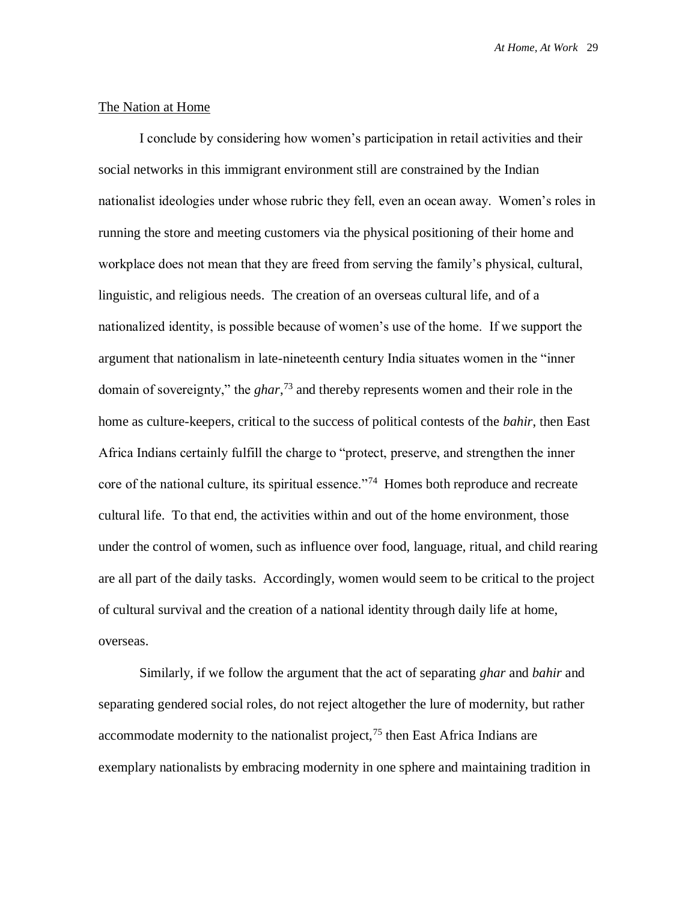# The Nation at Home

I conclude by considering how women's participation in retail activities and their social networks in this immigrant environment still are constrained by the Indian nationalist ideologies under whose rubric they fell, even an ocean away. Women's roles in running the store and meeting customers via the physical positioning of their home and workplace does not mean that they are freed from serving the family's physical, cultural, linguistic, and religious needs. The creation of an overseas cultural life, and of a nationalized identity, is possible because of women's use of the home. If we support the argument that nationalism in late-nineteenth century India situates women in the "inner domain of sovereignty," the *ghar*, <sup>73</sup> and thereby represents women and their role in the home as culture-keepers, critical to the success of political contests of the *bahir*, then East Africa Indians certainly fulfill the charge to "protect, preserve, and strengthen the inner core of the national culture, its spiritual essence."<sup>74</sup> Homes both reproduce and recreate cultural life. To that end, the activities within and out of the home environment, those under the control of women, such as influence over food, language, ritual, and child rearing are all part of the daily tasks. Accordingly, women would seem to be critical to the project of cultural survival and the creation of a national identity through daily life at home, overseas.

Similarly, if we follow the argument that the act of separating *ghar* and *bahir* and separating gendered social roles, do not reject altogether the lure of modernity, but rather accommodate modernity to the nationalist project,  $^{75}$  then East Africa Indians are exemplary nationalists by embracing modernity in one sphere and maintaining tradition in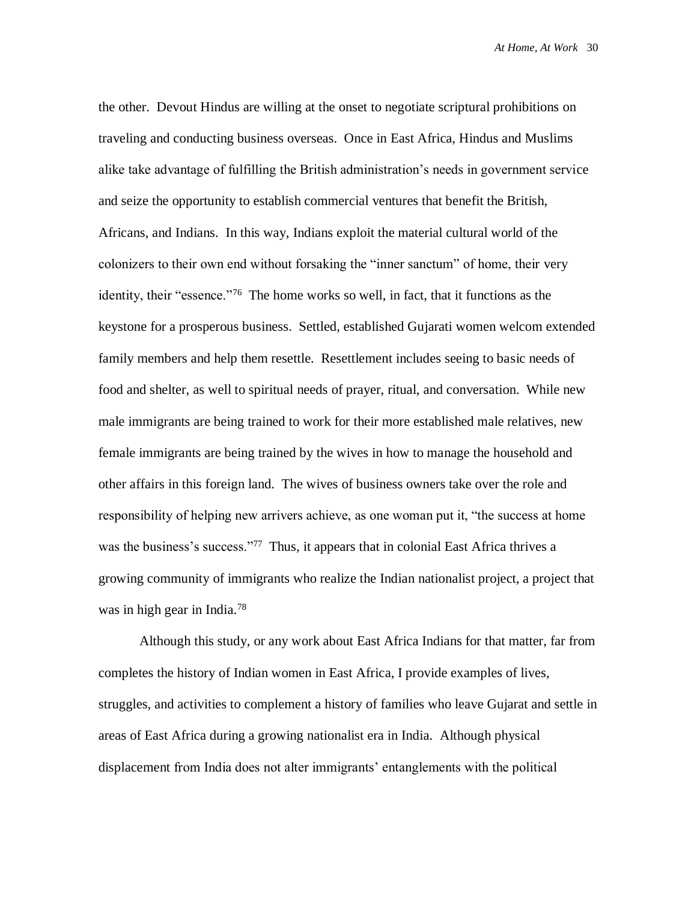the other. Devout Hindus are willing at the onset to negotiate scriptural prohibitions on traveling and conducting business overseas. Once in East Africa, Hindus and Muslims alike take advantage of fulfilling the British administration's needs in government service and seize the opportunity to establish commercial ventures that benefit the British, Africans, and Indians. In this way, Indians exploit the material cultural world of the colonizers to their own end without forsaking the "inner sanctum" of home, their very identity, their "essence."<sup>76</sup> The home works so well, in fact, that it functions as the keystone for a prosperous business. Settled, established Gujarati women welcom extended family members and help them resettle. Resettlement includes seeing to basic needs of food and shelter, as well to spiritual needs of prayer, ritual, and conversation. While new male immigrants are being trained to work for their more established male relatives, new female immigrants are being trained by the wives in how to manage the household and other affairs in this foreign land. The wives of business owners take over the role and responsibility of helping new arrivers achieve, as one woman put it, "the success at home was the business's success."<sup>77</sup> Thus, it appears that in colonial East Africa thrives a growing community of immigrants who realize the Indian nationalist project, a project that was in high gear in India.<sup>78</sup>

Although this study, or any work about East Africa Indians for that matter, far from completes the history of Indian women in East Africa, I provide examples of lives, struggles, and activities to complement a history of families who leave Gujarat and settle in areas of East Africa during a growing nationalist era in India. Although physical displacement from India does not alter immigrants' entanglements with the political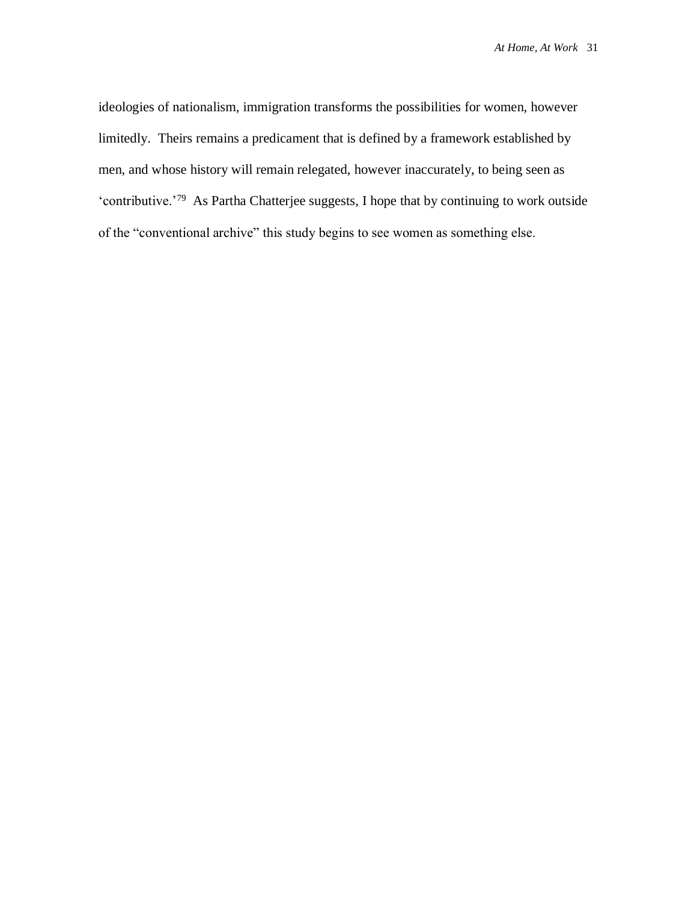ideologies of nationalism, immigration transforms the possibilities for women, however limitedly. Theirs remains a predicament that is defined by a framework established by men, and whose history will remain relegated, however inaccurately, to being seen as 'contributive.'<sup>79</sup> As Partha Chatterjee suggests, I hope that by continuing to work outside of the "conventional archive" this study begins to see women as something else.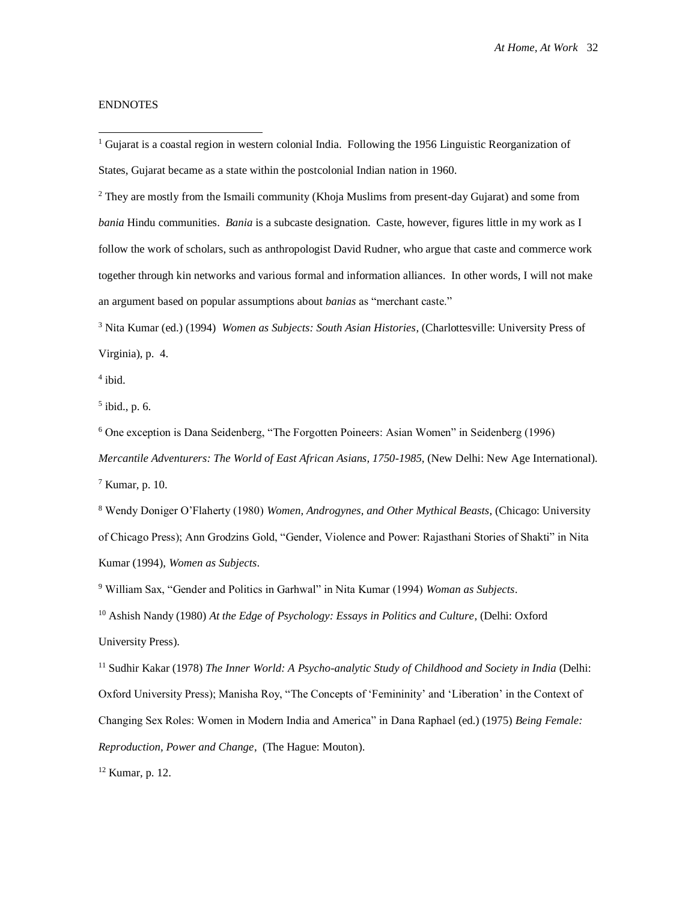#### ENDNOTES

l

<sup>1</sup> Gujarat is a coastal region in western colonial India. Following the 1956 Linguistic Reorganization of States, Gujarat became as a state within the postcolonial Indian nation in 1960.

<sup>2</sup> They are mostly from the Ismaili community (Khoja Muslims from present-day Gujarat) and some from *bania* Hindu communities. *Bania* is a subcaste designation. Caste, however, figures little in my work as I follow the work of scholars, such as anthropologist David Rudner, who argue that caste and commerce work together through kin networks and various formal and information alliances. In other words, I will not make an argument based on popular assumptions about *banias* as "merchant caste."

<sup>3</sup> Nita Kumar (ed.) (1994) *Women as Subjects: South Asian Histories*, (Charlottesville: University Press of Virginia), p. 4.

4 ibid.

5 ibid., p. 6.

<sup>6</sup> One exception is Dana Seidenberg, "The Forgotten Poineers: Asian Women" in Seidenberg (1996)

*Mercantile Adventurers: The World of East African Asians, 1750-1985*, (New Delhi: New Age International).

<sup>7</sup> Kumar, p. 10.

<sup>8</sup> Wendy Doniger O'Flaherty (1980) *Women, Androgynes, and Other Mythical Beasts*, (Chicago: University of Chicago Press); Ann Grodzins Gold, "Gender, Violence and Power: Rajasthani Stories of Shakti" in Nita Kumar (1994), *Women as Subjects*.

<sup>9</sup> William Sax, "Gender and Politics in Garhwal" in Nita Kumar (1994) *Woman as Subjects*.

<sup>10</sup> Ashish Nandy (1980) *At the Edge of Psychology: Essays in Politics and Culture*, (Delhi: Oxford University Press).

<sup>11</sup> Sudhir Kakar (1978) *The Inner World: A Psycho-analytic Study of Childhood and Society in India* (Delhi: Oxford University Press); Manisha Roy, "The Concepts of 'Femininity' and 'Liberation' in the Context of Changing Sex Roles: Women in Modern India and America" in Dana Raphael (ed.) (1975) *Being Female: Reproduction, Power and Change*, (The Hague: Mouton).

<sup>12</sup> Kumar, p. 12.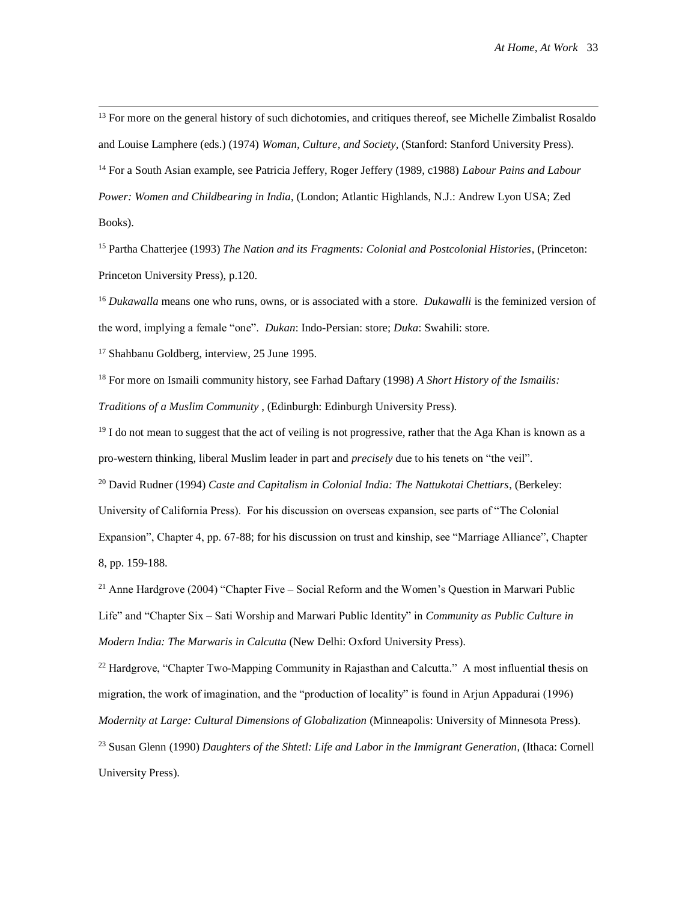<sup>13</sup> For more on the general history of such dichotomies, and critiques thereof, see Michelle Zimbalist Rosaldo and Louise Lamphere (eds.) (1974) *Woman, Culture, and Society*, (Stanford: Stanford University Press). <sup>14</sup> For a South Asian example, see Patricia Jeffery, Roger Jeffery (1989, c1988) *Labour Pains and Labour Power: Women and Childbearing in India*, (London; Atlantic Highlands, N.J.: Andrew Lyon USA; Zed Books).

<sup>15</sup> Partha Chatterjee (1993) *The Nation and its Fragments: Colonial and Postcolonial Histories*, (Princeton: Princeton University Press), p.120.

<sup>16</sup> *Dukawalla* means one who runs, owns, or is associated with a store. *Dukawalli* is the feminized version of the word, implying a female "one". *Dukan*: Indo-Persian: store; *Duka*: Swahili: store.

<sup>17</sup> Shahbanu Goldberg, interview, 25 June 1995.

 $\overline{a}$ 

<sup>18</sup> For more on Ismaili community history, see Farhad Daftary (1998) *A Short History of the Ismailis: Traditions of a Muslim Community* , (Edinburgh: Edinburgh University Press).

<sup>19</sup> I do not mean to suggest that the act of veiling is not progressive, rather that the Aga Khan is known as a pro-western thinking, liberal Muslim leader in part and *precisely* due to his tenets on "the veil".

<sup>20</sup> David Rudner (1994) *Caste and Capitalism in Colonial India: The Nattukotai Chettiars*, (Berkeley: University of California Press). For his discussion on overseas expansion, see parts of "The Colonial Expansion", Chapter 4, pp. 67-88; for his discussion on trust and kinship, see "Marriage Alliance", Chapter 8, pp. 159-188.

<sup>21</sup> Anne Hardgrove (2004) "Chapter Five – Social Reform and the Women's Question in Marwari Public Life" and "Chapter Six – Sati Worship and Marwari Public Identity" in *Community as Public Culture in Modern India: The Marwaris in Calcutta* (New Delhi: Oxford University Press).

<sup>22</sup> Hardgrove, "Chapter Two-Mapping Community in Rajasthan and Calcutta." A most influential thesis on migration, the work of imagination, and the "production of locality" is found in Arjun Appadurai (1996) *Modernity at Large: Cultural Dimensions of Globalization* (Minneapolis: University of Minnesota Press).

<sup>23</sup> Susan Glenn (1990) *Daughters of the Shtetl: Life and Labor in the Immigrant Generation*, (Ithaca: Cornell University Press).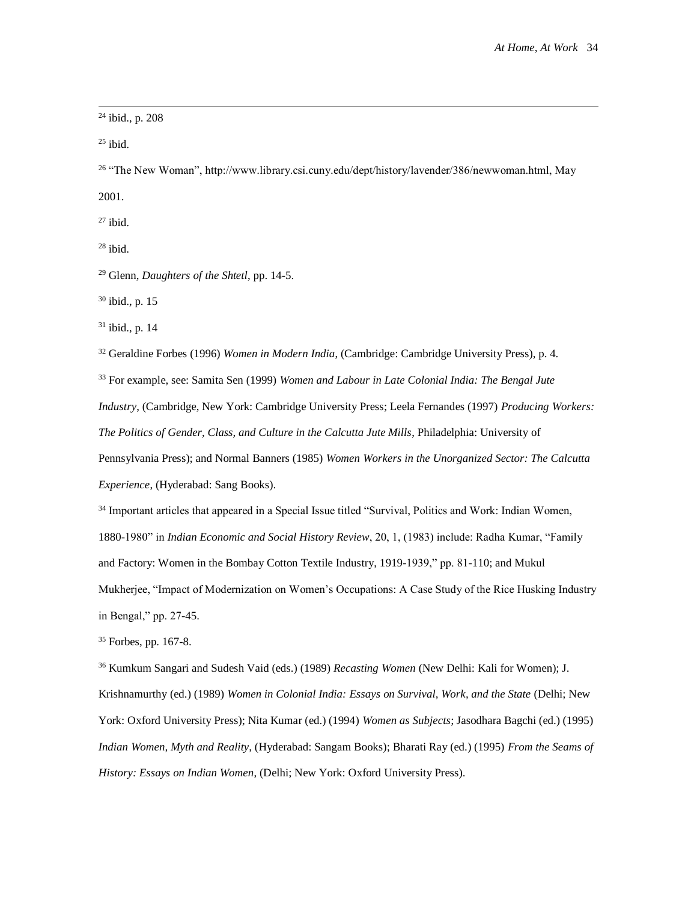<sup>24</sup> ibid., p. 208

 $25$  ibid.

 $\overline{a}$ 

<sup>26</sup> "The New Woman", http://www.library.csi.cuny.edu/dept/history/lavender/386/newwoman.html, May 2001.

 $27$  ibid.

 $28$  ibid.

<sup>29</sup> Glenn, *Daughters of the Shtetl*, pp. 14-5.

<sup>30</sup> ibid., p. 15

 $31$  ibid., p. 14

<sup>32</sup> Geraldine Forbes (1996) *Women in Modern India*, (Cambridge: Cambridge University Press), p. 4. <sup>33</sup> For example, see: Samita Sen (1999) *Women and Labour in Late Colonial India: The Bengal Jute Industry*, (Cambridge, New York: Cambridge University Press; Leela Fernandes (1997) *Producing Workers: The Politics of Gender, Class, and Culture in the Calcutta Jute Mills*, Philadelphia: University of Pennsylvania Press); and Normal Banners (1985) *Women Workers in the Unorganized Sector: The Calcutta Experience*, (Hyderabad: Sang Books).

<sup>34</sup> Important articles that appeared in a Special Issue titled "Survival, Politics and Work: Indian Women, 1880-1980" in *Indian Economic and Social History Review*, 20, 1, (1983) include: Radha Kumar, "Family and Factory: Women in the Bombay Cotton Textile Industry, 1919-1939," pp. 81-110; and Mukul Mukherjee, "Impact of Modernization on Women's Occupations: A Case Study of the Rice Husking Industry in Bengal," pp. 27-45.

<sup>35</sup> Forbes, pp. 167-8.

<sup>36</sup> Kumkum Sangari and Sudesh Vaid (eds.) (1989) *Recasting Women* (New Delhi: Kali for Women); J. Krishnamurthy (ed.) (1989) *Women in Colonial India: Essays on Survival, Work, and the State* (Delhi; New York: Oxford University Press); Nita Kumar (ed.) (1994) *Women as Subjects*; Jasodhara Bagchi (ed.) (1995) *Indian Women, Myth and Reality,* (Hyderabad: Sangam Books); Bharati Ray (ed.) (1995) *From the Seams of History: Essays on Indian Women*, (Delhi; New York: Oxford University Press).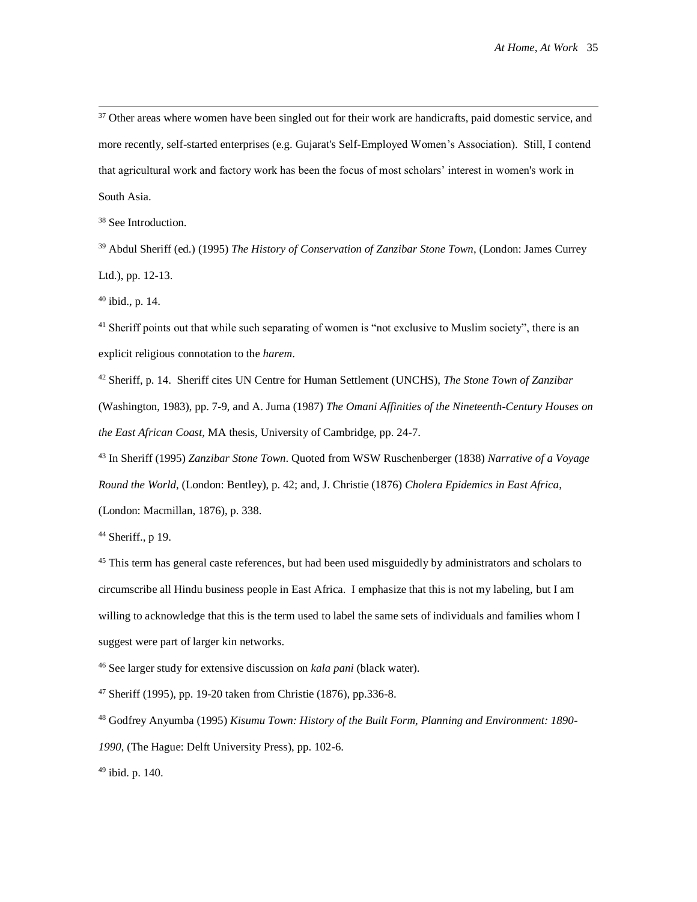<sup>37</sup> Other areas where women have been singled out for their work are handicrafts, paid domestic service, and more recently, self-started enterprises (e.g. Gujarat's Self-Employed Women's Association). Still, I contend that agricultural work and factory work has been the focus of most scholars' interest in women's work in South Asia.

<sup>38</sup> See Introduction.

 $\overline{a}$ 

<sup>39</sup> Abdul Sheriff (ed.) (1995) *The History of Conservation of Zanzibar Stone Town*, (London: James Currey Ltd.), pp. 12-13.

 $40$  ibid., p. 14.

<sup>41</sup> Sheriff points out that while such separating of women is "not exclusive to Muslim society", there is an explicit religious connotation to the *harem*.

<sup>42</sup> Sheriff, p. 14. Sheriff cites UN Centre for Human Settlement (UNCHS), *The Stone Town of Zanzibar* (Washington, 1983), pp. 7-9, and A. Juma (1987) *The Omani Affinities of the Nineteenth-Century Houses on the East African Coast*, MA thesis, University of Cambridge, pp. 24-7.

<sup>43</sup> In Sheriff (1995) *Zanzibar Stone Town*. Quoted from WSW Ruschenberger (1838) *Narrative of a Voyage Round the World*, (London: Bentley), p. 42; and, J. Christie (1876) *Cholera Epidemics in East Africa*, (London: Macmillan, 1876), p. 338.

<sup>44</sup> Sheriff., p 19.

<sup>45</sup> This term has general caste references, but had been used misguidedly by administrators and scholars to circumscribe all Hindu business people in East Africa. I emphasize that this is not my labeling, but I am willing to acknowledge that this is the term used to label the same sets of individuals and families whom I suggest were part of larger kin networks.

<sup>46</sup> See larger study for extensive discussion on *kala pani* (black water).

<sup>47</sup> Sheriff (1995), pp. 19-20 taken from Christie (1876), pp.336-8.

<sup>48</sup> Godfrey Anyumba (1995) *Kisumu Town: History of the Built Form, Planning and Environment: 1890-*

*1990*, (The Hague: Delft University Press), pp. 102-6.

 $49$  ibid. p. 140.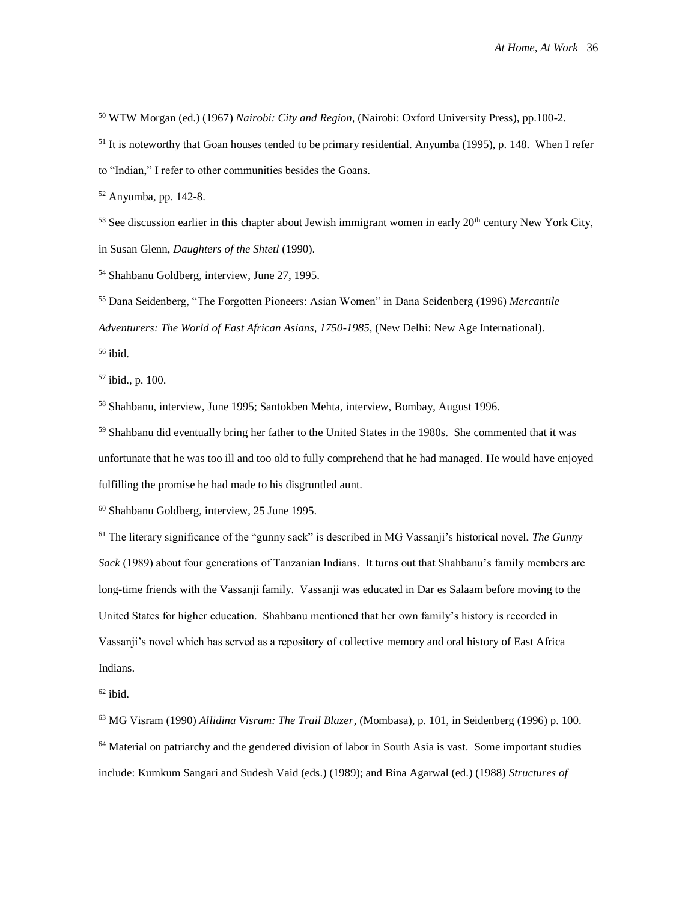<sup>50</sup> WTW Morgan (ed.) (1967) *Nairobi: City and Region*, (Nairobi: Oxford University Press), pp.100-2.

 $<sup>51</sup>$  It is noteworthy that Goan houses tended to be primary residential. Anyumba (1995), p. 148. When I refer</sup>

to "Indian," I refer to other communities besides the Goans.

<sup>52</sup> Anyumba, pp. 142-8.

 $\overline{a}$ 

<sup>53</sup> See discussion earlier in this chapter about Jewish immigrant women in early  $20<sup>th</sup>$  century New York City, in Susan Glenn, *Daughters of the Shtetl* (1990).

<sup>54</sup> Shahbanu Goldberg, interview, June 27, 1995.

<sup>55</sup> Dana Seidenberg, "The Forgotten Pioneers: Asian Women" in Dana Seidenberg (1996) *Mercantile Adventurers: The World of East African Asians, 1750-1985*, (New Delhi: New Age International). <sup>56</sup> ibid.

<sup>57</sup> ibid., p. 100.

<sup>58</sup> Shahbanu, interview, June 1995; Santokben Mehta, interview, Bombay, August 1996.

<sup>59</sup> Shahbanu did eventually bring her father to the United States in the 1980s. She commented that it was unfortunate that he was too ill and too old to fully comprehend that he had managed. He would have enjoyed fulfilling the promise he had made to his disgruntled aunt.

<sup>60</sup> Shahbanu Goldberg, interview, 25 June 1995.

<sup>61</sup> The literary significance of the "gunny sack" is described in MG Vassanji's historical novel, *The Gunny Sack* (1989) about four generations of Tanzanian Indians. It turns out that Shahbanu's family members are long-time friends with the Vassanji family. Vassanji was educated in Dar es Salaam before moving to the United States for higher education. Shahbanu mentioned that her own family's history is recorded in Vassanji's novel which has served as a repository of collective memory and oral history of East Africa Indians.

 $62$  ibid.

<sup>63</sup> MG Visram (1990) *Allidina Visram: The Trail Blazer*, (Mombasa), p. 101, in Seidenberg (1996) p. 100. <sup>64</sup> Material on patriarchy and the gendered division of labor in South Asia is vast. Some important studies include: Kumkum Sangari and Sudesh Vaid (eds.) (1989); and Bina Agarwal (ed.) (1988) *Structures of*